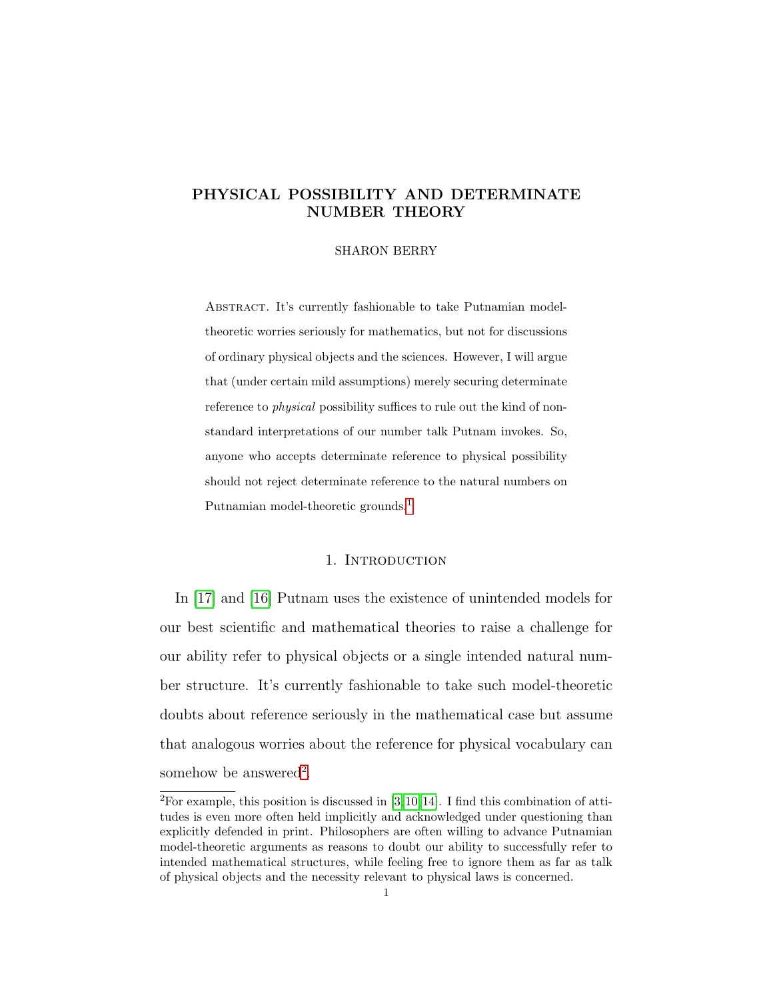# PHYSICAL POSSIBILITY AND DETERMINATE NUMBER THEORY

## SHARON BERRY

ABSTRACT. It's currently fashionable to take Putnamian modeltheoretic worries seriously for mathematics, but not for discussions of ordinary physical objects and the sciences. However, I will argue that (under certain mild assumptions) merely securing determinate reference to physical possibility suffices to rule out the kind of nonstandard interpretations of our number talk Putnam invokes. So, anyone who accepts determinate reference to physical possibility should not reject determinate reference to the natural numbers on Putnamian model-theoretic grounds.<sup>1</sup>

## 1. INTRODUCTION

In [\[17\]](#page-31-0) and [\[16\]](#page-31-1) Putnam uses the existence of unintended models for our best scientific and mathematical theories to raise a challenge for our ability refer to physical objects or a single intended natural number structure. It's currently fashionable to take such model-theoretic doubts about reference seriously in the mathematical case but assume that analogous worries about the reference for physical vocabulary can somehow be answered<sup>[2](#page-0-0)</sup>.

<span id="page-0-0"></span><sup>&</sup>lt;sup>2</sup>For example, this position is discussed in  $[3,10,14]$  $[3,10,14]$  $[3,10,14]$ . I find this combination of attitudes is even more often held implicitly and acknowledged under questioning than explicitly defended in print. Philosophers are often willing to advance Putnamian model-theoretic arguments as reasons to doubt our ability to successfully refer to intended mathematical structures, while feeling free to ignore them as far as talk of physical objects and the necessity relevant to physical laws is concerned.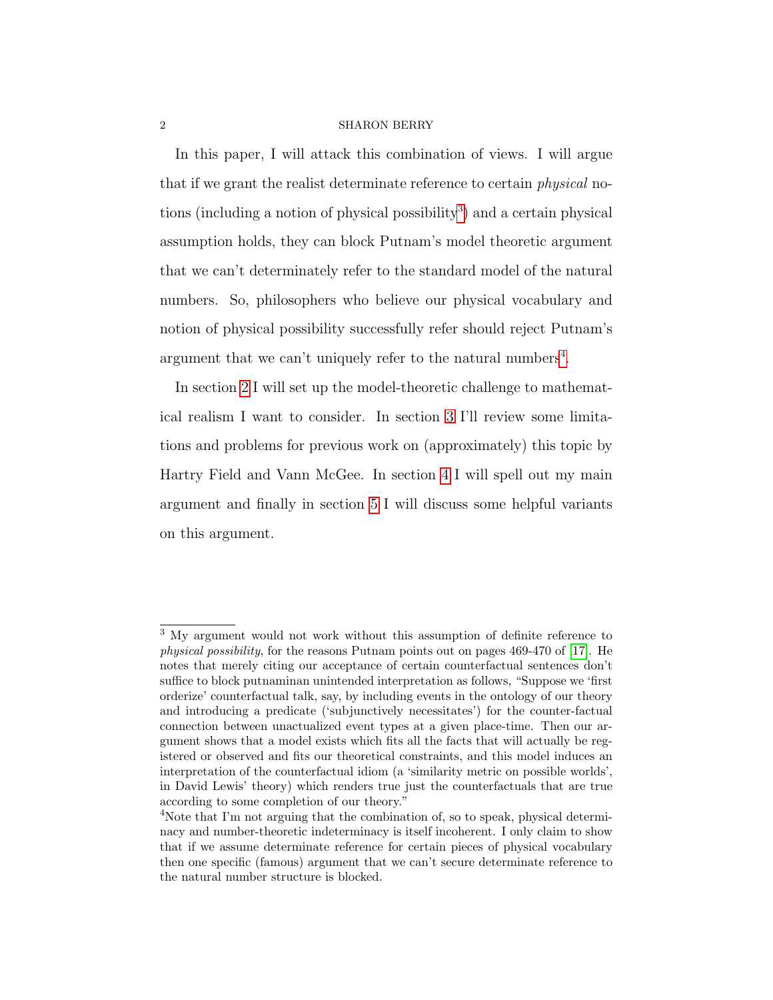In this paper, I will attack this combination of views. I will argue that if we grant the realist determinate reference to certain *physical* no-tions (including a notion of physical possibility<sup>[3](#page-1-0)</sup>) and a certain physical assumption holds, they can block Putnam's model theoretic argument that we can't determinately refer to the standard model of the natural numbers. So, philosophers who believe our physical vocabulary and notion of physical possibility successfully refer should reject Putnam's argument that we can't uniquely refer to the natural numbers<sup>[4](#page-1-1)</sup>.

In section [2](#page-2-0) I will set up the model-theoretic challenge to mathematical realism I want to consider. In section [3](#page-10-0) I'll review some limitations and problems for previous work on (approximately) this topic by Hartry Field and Vann McGee. In section [4](#page-17-0) I will spell out my main argument and finally in section [5](#page-26-0) I will discuss some helpful variants on this argument.

<span id="page-1-0"></span><sup>3</sup> My argument would not work without this assumption of definite reference to physical possibility, for the reasons Putnam points out on pages 469-470 of [\[17\]](#page-31-0). He notes that merely citing our acceptance of certain counterfactual sentences don't suffice to block putnaminan unintended interpretation as follows, "Suppose we 'first orderize' counterfactual talk, say, by including events in the ontology of our theory and introducing a predicate ('subjunctively necessitates') for the counter-factual connection between unactualized event types at a given place-time. Then our argument shows that a model exists which fits all the facts that will actually be registered or observed and fits our theoretical constraints, and this model induces an interpretation of the counterfactual idiom (a 'similarity metric on possible worlds', in David Lewis' theory) which renders true just the counterfactuals that are true according to some completion of our theory."

<span id="page-1-1"></span><sup>4</sup>Note that I'm not arguing that the combination of, so to speak, physical determinacy and number-theoretic indeterminacy is itself incoherent. I only claim to show that if we assume determinate reference for certain pieces of physical vocabulary then one specific (famous) argument that we can't secure determinate reference to the natural number structure is blocked.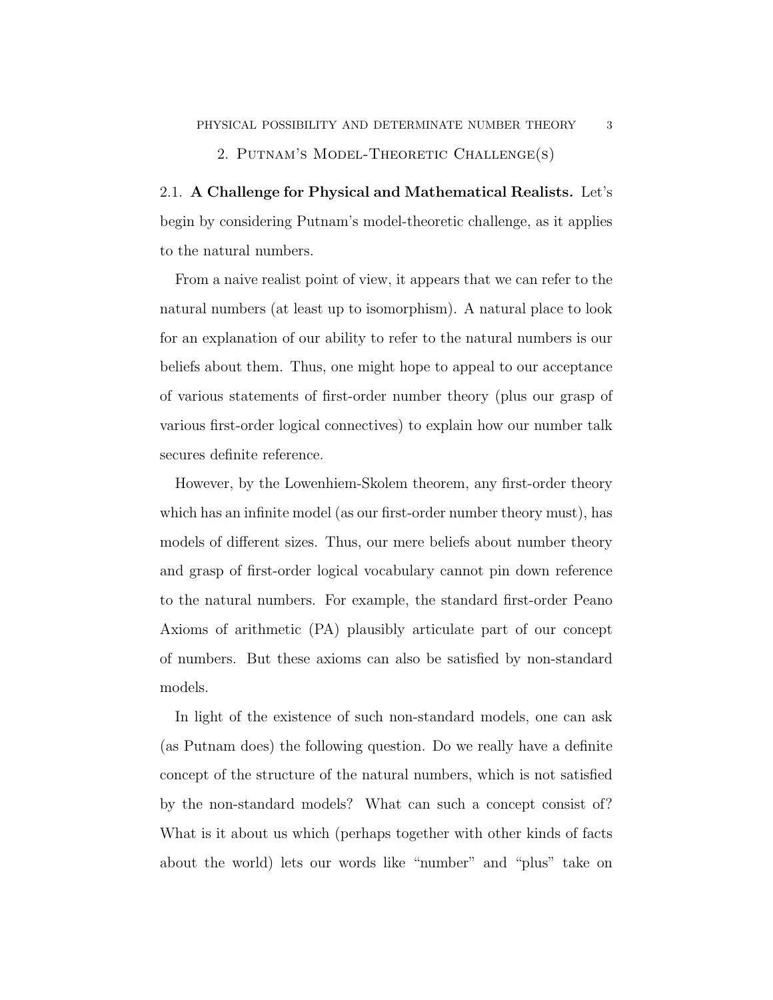# 2. Putnam's Model-Theoretic Challenge(s)

<span id="page-2-0"></span>2.1. A Challenge for Physical and Mathematical Realists. Let's begin by considering Putnam's model-theoretic challenge, as it applies to the natural numbers.

From a naive realist point of view, it appears that we can refer to the natural numbers (at least up to isomorphism). A natural place to look for an explanation of our ability to refer to the natural numbers is our beliefs about them. Thus, one might hope to appeal to our acceptance of various statements of first-order number theory (plus our grasp of various first-order logical connectives) to explain how our number talk secures definite reference.

However, by the Lowenhiem-Skolem theorem, any first-order theory which has an infinite model (as our first-order number theory must), has models of different sizes. Thus, our mere beliefs about number theory and grasp of first-order logical vocabulary cannot pin down reference to the natural numbers. For example, the standard first-order Peano Axioms of arithmetic (PA) plausibly articulate part of our concept of numbers. But these axioms can also be satisfied by non-standard models.

In light of the existence of such non-standard models, one can ask (as Putnam does) the following question. Do we really have a definite concept of the structure of the natural numbers, which is not satisfied by the non-standard models? What can such a concept consist of? What is it about us which (perhaps together with other kinds of facts about the world) lets our words like "number" and "plus" take on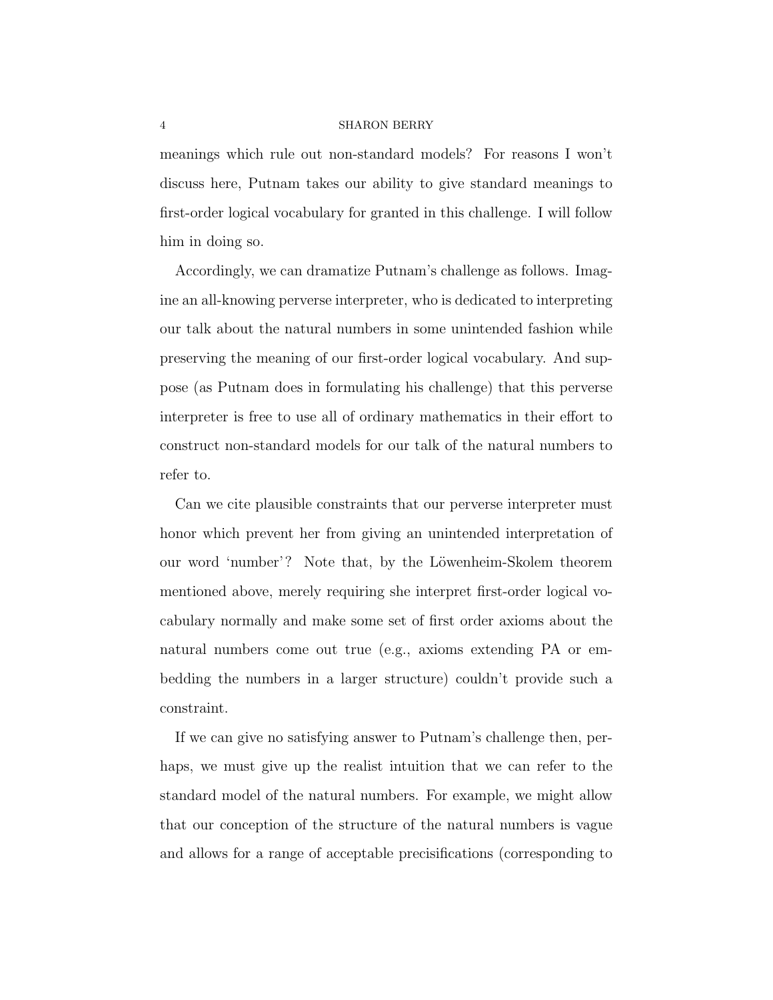meanings which rule out non-standard models? For reasons I won't discuss here, Putnam takes our ability to give standard meanings to first-order logical vocabulary for granted in this challenge. I will follow him in doing so.

Accordingly, we can dramatize Putnam's challenge as follows. Imagine an all-knowing perverse interpreter, who is dedicated to interpreting our talk about the natural numbers in some unintended fashion while preserving the meaning of our first-order logical vocabulary. And suppose (as Putnam does in formulating his challenge) that this perverse interpreter is free to use all of ordinary mathematics in their effort to construct non-standard models for our talk of the natural numbers to refer to.

Can we cite plausible constraints that our perverse interpreter must honor which prevent her from giving an unintended interpretation of our word 'number'? Note that, by the Löwenheim-Skolem theorem mentioned above, merely requiring she interpret first-order logical vocabulary normally and make some set of first order axioms about the natural numbers come out true (e.g., axioms extending PA or embedding the numbers in a larger structure) couldn't provide such a constraint.

If we can give no satisfying answer to Putnam's challenge then, perhaps, we must give up the realist intuition that we can refer to the standard model of the natural numbers. For example, we might allow that our conception of the structure of the natural numbers is vague and allows for a range of acceptable precisifications (corresponding to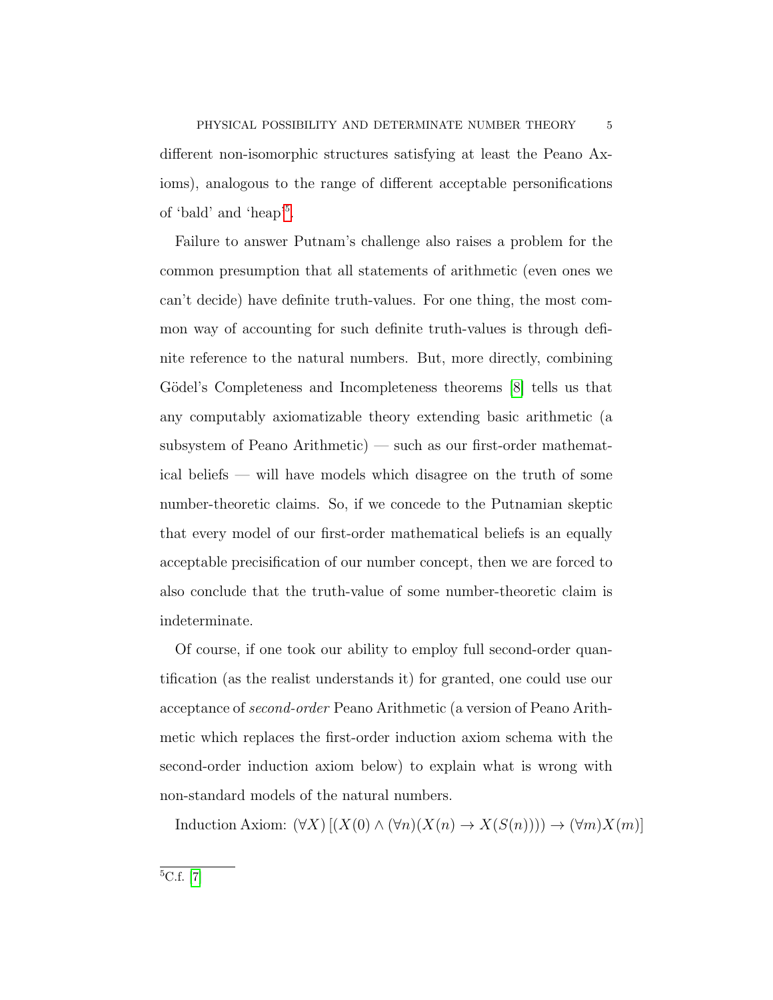different non-isomorphic structures satisfying at least the Peano Axioms), analogous to the range of different acceptable personifications of 'bald' and 'heap'[5](#page-4-0) .

Failure to answer Putnam's challenge also raises a problem for the common presumption that all statements of arithmetic (even ones we can't decide) have definite truth-values. For one thing, the most common way of accounting for such definite truth-values is through definite reference to the natural numbers. But, more directly, combining Gödel's Completeness and Incompleteness theorems [\[8\]](#page-30-2) tells us that any computably axiomatizable theory extending basic arithmetic (a subsystem of Peano Arithmetic) — such as our first-order mathematical beliefs — will have models which disagree on the truth of some number-theoretic claims. So, if we concede to the Putnamian skeptic that every model of our first-order mathematical beliefs is an equally acceptable precisification of our number concept, then we are forced to also conclude that the truth-value of some number-theoretic claim is indeterminate.

Of course, if one took our ability to employ full second-order quantification (as the realist understands it) for granted, one could use our acceptance of second-order Peano Arithmetic (a version of Peano Arithmetic which replaces the first-order induction axiom schema with the second-order induction axiom below) to explain what is wrong with non-standard models of the natural numbers.

Induction Axiom:  $(\forall X) [(X(0) \land (\forall n)(X(n) \to X(S(n)))) \to (\forall m)X(m)]$ 

<span id="page-4-0"></span> ${}^{5}C.f.$  [\[7\]](#page-30-3)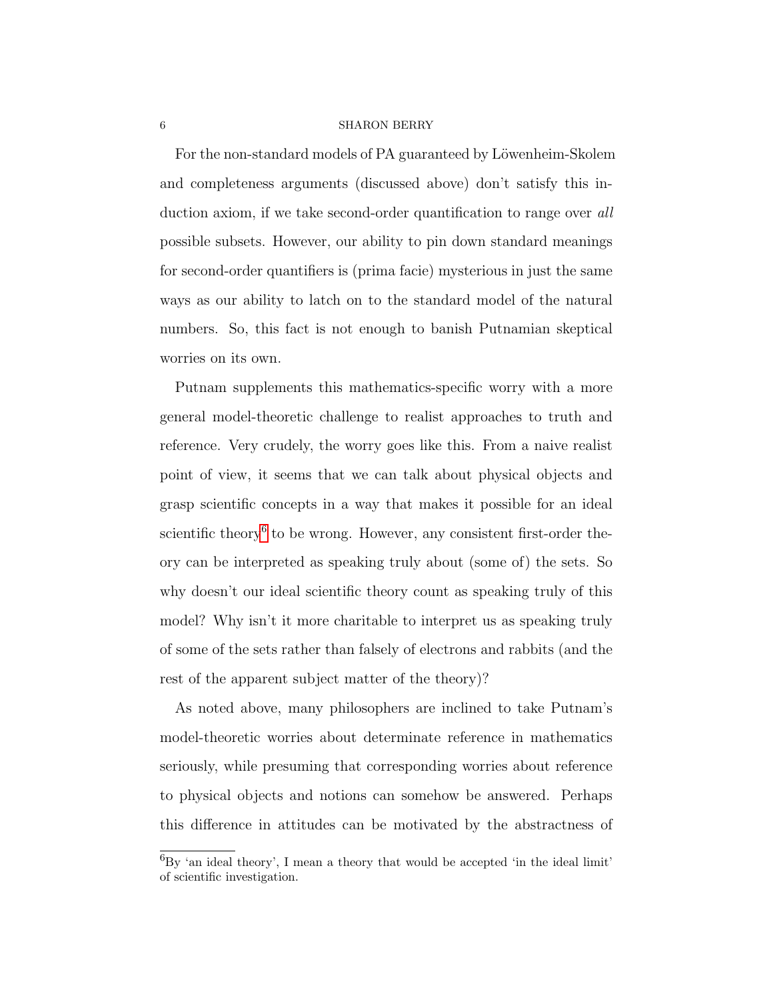For the non-standard models of PA guaranteed by Löwenheim-Skolem and completeness arguments (discussed above) don't satisfy this induction axiom, if we take second-order quantification to range over all possible subsets. However, our ability to pin down standard meanings for second-order quantifiers is (prima facie) mysterious in just the same ways as our ability to latch on to the standard model of the natural numbers. So, this fact is not enough to banish Putnamian skeptical worries on its own.

Putnam supplements this mathematics-specific worry with a more general model-theoretic challenge to realist approaches to truth and reference. Very crudely, the worry goes like this. From a naive realist point of view, it seems that we can talk about physical objects and grasp scientific concepts in a way that makes it possible for an ideal scientific theory<sup>[6](#page-5-0)</sup> to be wrong. However, any consistent first-order theory can be interpreted as speaking truly about (some of) the sets. So why doesn't our ideal scientific theory count as speaking truly of this model? Why isn't it more charitable to interpret us as speaking truly of some of the sets rather than falsely of electrons and rabbits (and the rest of the apparent subject matter of the theory)?

As noted above, many philosophers are inclined to take Putnam's model-theoretic worries about determinate reference in mathematics seriously, while presuming that corresponding worries about reference to physical objects and notions can somehow be answered. Perhaps this difference in attitudes can be motivated by the abstractness of

<span id="page-5-0"></span> ${}^{6}$ By 'an ideal theory', I mean a theory that would be accepted 'in the ideal limit' of scientific investigation.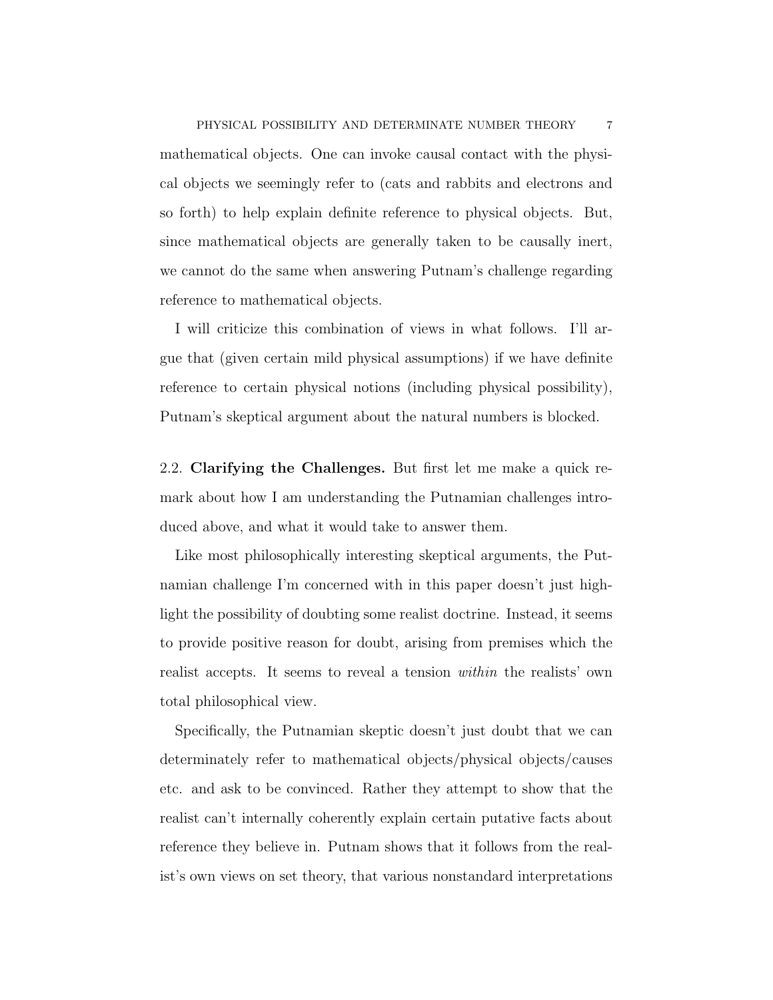mathematical objects. One can invoke causal contact with the physical objects we seemingly refer to (cats and rabbits and electrons and so forth) to help explain definite reference to physical objects. But, since mathematical objects are generally taken to be causally inert, we cannot do the same when answering Putnam's challenge regarding reference to mathematical objects.

I will criticize this combination of views in what follows. I'll argue that (given certain mild physical assumptions) if we have definite reference to certain physical notions (including physical possibility), Putnam's skeptical argument about the natural numbers is blocked.

<span id="page-6-0"></span>2.2. Clarifying the Challenges. But first let me make a quick remark about how I am understanding the Putnamian challenges introduced above, and what it would take to answer them.

Like most philosophically interesting skeptical arguments, the Putnamian challenge I'm concerned with in this paper doesn't just highlight the possibility of doubting some realist doctrine. Instead, it seems to provide positive reason for doubt, arising from premises which the realist accepts. It seems to reveal a tension within the realists' own total philosophical view.

Specifically, the Putnamian skeptic doesn't just doubt that we can determinately refer to mathematical objects/physical objects/causes etc. and ask to be convinced. Rather they attempt to show that the realist can't internally coherently explain certain putative facts about reference they believe in. Putnam shows that it follows from the realist's own views on set theory, that various nonstandard interpretations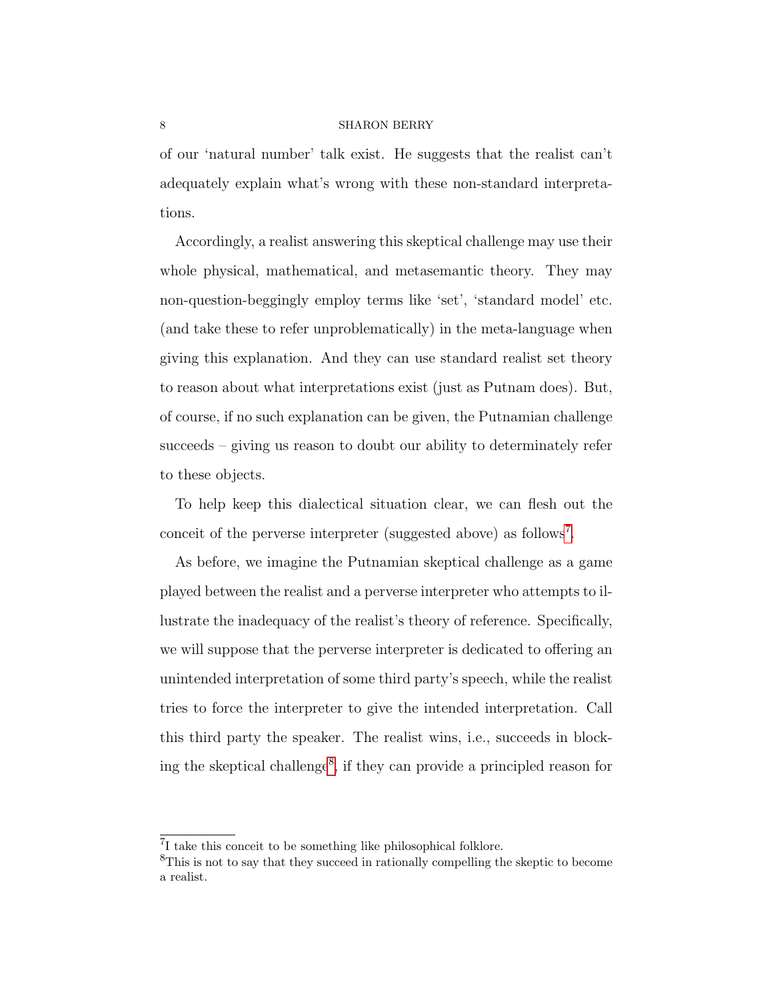of our 'natural number' talk exist. He suggests that the realist can't adequately explain what's wrong with these non-standard interpretations.

Accordingly, a realist answering this skeptical challenge may use their whole physical, mathematical, and metasemantic theory. They may non-question-beggingly employ terms like 'set', 'standard model' etc. (and take these to refer unproblematically) in the meta-language when giving this explanation. And they can use standard realist set theory to reason about what interpretations exist (just as Putnam does). But, of course, if no such explanation can be given, the Putnamian challenge succeeds – giving us reason to doubt our ability to determinately refer to these objects.

To help keep this dialectical situation clear, we can flesh out the conceit of the perverse interpreter (suggested above) as follows<sup>[7](#page-7-0)</sup>.

As before, we imagine the Putnamian skeptical challenge as a game played between the realist and a perverse interpreter who attempts to illustrate the inadequacy of the realist's theory of reference. Specifically, we will suppose that the perverse interpreter is dedicated to offering an unintended interpretation of some third party's speech, while the realist tries to force the interpreter to give the intended interpretation. Call this third party the speaker. The realist wins, i.e., succeeds in block-ing the skeptical challenge<sup>[8](#page-7-1)</sup>, if they can provide a principled reason for

<span id="page-7-0"></span><sup>7</sup> I take this conceit to be something like philosophical folklore.

<span id="page-7-1"></span><sup>8</sup>This is not to say that they succeed in rationally compelling the skeptic to become a realist.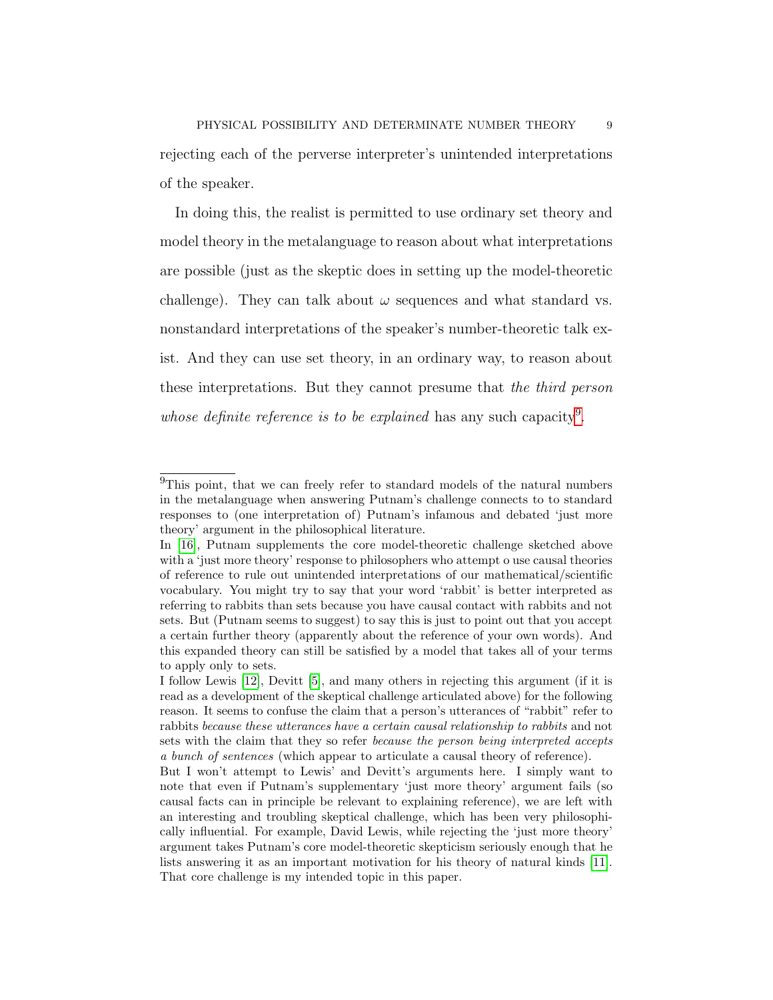rejecting each of the perverse interpreter's unintended interpretations of the speaker.

In doing this, the realist is permitted to use ordinary set theory and model theory in the metalanguage to reason about what interpretations are possible (just as the skeptic does in setting up the model-theoretic challenge). They can talk about  $\omega$  sequences and what standard vs. nonstandard interpretations of the speaker's number-theoretic talk exist. And they can use set theory, in an ordinary way, to reason about these interpretations. But they cannot presume that the third person whose definite reference is to be explained has any such capacity<sup>[9](#page-8-0)</sup>.

<span id="page-8-0"></span><sup>&</sup>lt;sup>9</sup>This point, that we can freely refer to standard models of the natural numbers in the metalanguage when answering Putnam's challenge connects to to standard responses to (one interpretation of) Putnam's infamous and debated 'just more theory' argument in the philosophical literature.

In [\[16\]](#page-31-1), Putnam supplements the core model-theoretic challenge sketched above with a 'just more theory' response to philosophers who attempt o use causal theories of reference to rule out unintended interpretations of our mathematical/scientific vocabulary. You might try to say that your word 'rabbit' is better interpreted as referring to rabbits than sets because you have causal contact with rabbits and not sets. But (Putnam seems to suggest) to say this is just to point out that you accept a certain further theory (apparently about the reference of your own words). And this expanded theory can still be satisfied by a model that takes all of your terms to apply only to sets.

I follow Lewis [\[12\]](#page-31-3), Devitt [\[5\]](#page-30-4), and many others in rejecting this argument (if it is read as a development of the skeptical challenge articulated above) for the following reason. It seems to confuse the claim that a person's utterances of "rabbit" refer to rabbits because these utterances have a certain causal relationship to rabbits and not sets with the claim that they so refer because the person being interpreted accepts a bunch of sentences (which appear to articulate a causal theory of reference).

But I won't attempt to Lewis' and Devitt's arguments here. I simply want to note that even if Putnam's supplementary 'just more theory' argument fails (so causal facts can in principle be relevant to explaining reference), we are left with an interesting and troubling skeptical challenge, which has been very philosophically influential. For example, David Lewis, while rejecting the 'just more theory' argument takes Putnam's core model-theoretic skepticism seriously enough that he lists answering it as an important motivation for his theory of natural kinds [\[11\]](#page-30-5). That core challenge is my intended topic in this paper.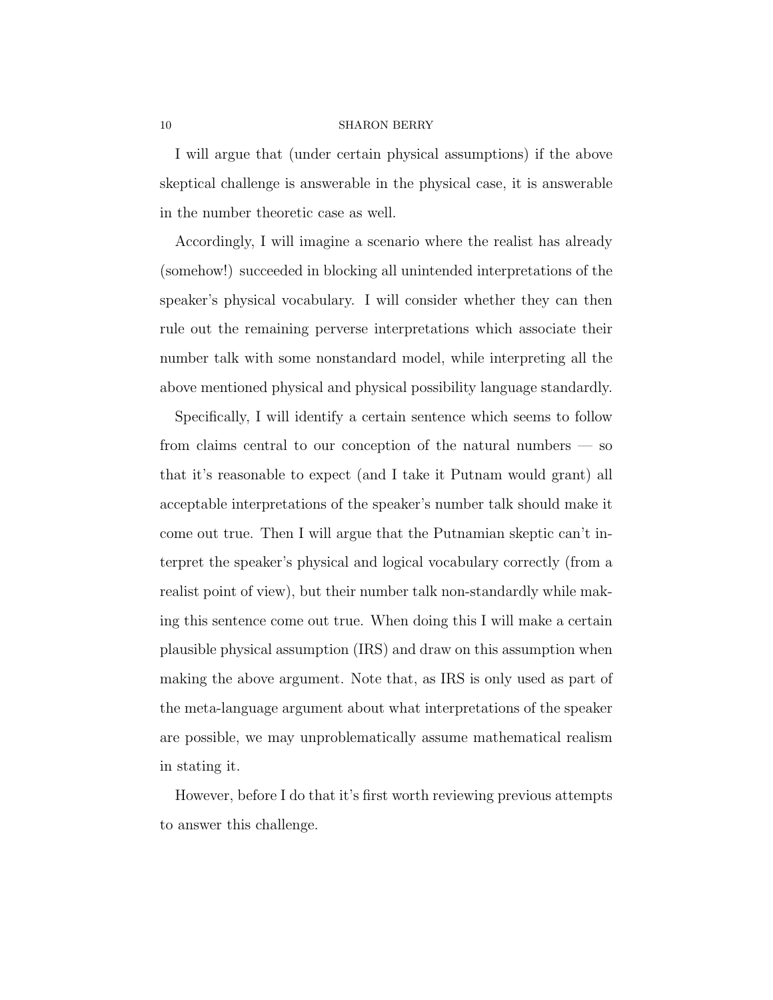I will argue that (under certain physical assumptions) if the above skeptical challenge is answerable in the physical case, it is answerable in the number theoretic case as well.

Accordingly, I will imagine a scenario where the realist has already (somehow!) succeeded in blocking all unintended interpretations of the speaker's physical vocabulary. I will consider whether they can then rule out the remaining perverse interpretations which associate their number talk with some nonstandard model, while interpreting all the above mentioned physical and physical possibility language standardly.

Specifically, I will identify a certain sentence which seems to follow from claims central to our conception of the natural numbers — so that it's reasonable to expect (and I take it Putnam would grant) all acceptable interpretations of the speaker's number talk should make it come out true. Then I will argue that the Putnamian skeptic can't interpret the speaker's physical and logical vocabulary correctly (from a realist point of view), but their number talk non-standardly while making this sentence come out true. When doing this I will make a certain plausible physical assumption (IRS) and draw on this assumption when making the above argument. Note that, as IRS is only used as part of the meta-language argument about what interpretations of the speaker are possible, we may unproblematically assume mathematical realism in stating it.

However, before I do that it's first worth reviewing previous attempts to answer this challenge.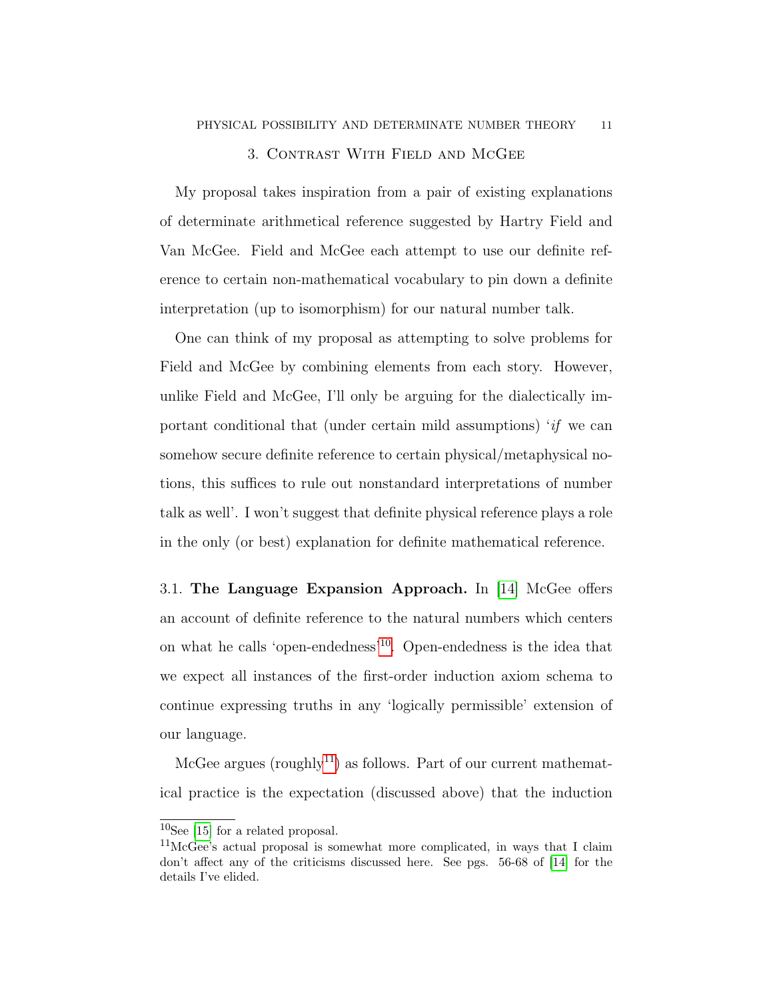## 3. Contrast With Field and McGee

<span id="page-10-0"></span>My proposal takes inspiration from a pair of existing explanations of determinate arithmetical reference suggested by Hartry Field and Van McGee. Field and McGee each attempt to use our definite reference to certain non-mathematical vocabulary to pin down a definite interpretation (up to isomorphism) for our natural number talk.

One can think of my proposal as attempting to solve problems for Field and McGee by combining elements from each story. However, unlike Field and McGee, I'll only be arguing for the dialectically important conditional that (under certain mild assumptions)  $if$  we can somehow secure definite reference to certain physical/metaphysical notions, this suffices to rule out nonstandard interpretations of number talk as well'. I won't suggest that definite physical reference plays a role in the only (or best) explanation for definite mathematical reference.

3.1. The Language Expansion Approach. In [\[14\]](#page-31-2) McGee offers an account of definite reference to the natural numbers which centers on what he calls 'open-endedness'[10](#page-10-1). Open-endedness is the idea that we expect all instances of the first-order induction axiom schema to continue expressing truths in any 'logically permissible' extension of our language.

McGee argues (roughly<sup>[11](#page-10-2)</sup>) as follows. Part of our current mathematical practice is the expectation (discussed above) that the induction

<span id="page-10-1"></span> $10$ See [\[15\]](#page-31-4) for a related proposal.

<span id="page-10-2"></span><sup>11</sup>McGee's actual proposal is somewhat more complicated, in ways that I claim don't affect any of the criticisms discussed here. See pgs. 56-68 of [\[14\]](#page-31-2) for the details I've elided.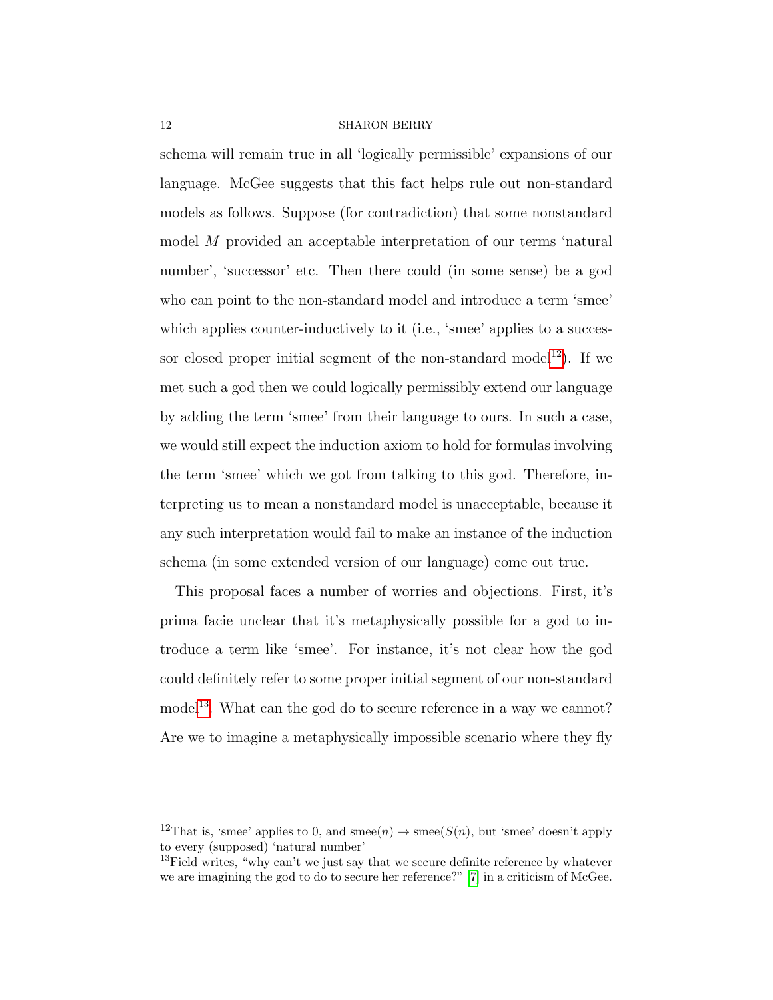schema will remain true in all 'logically permissible' expansions of our language. McGee suggests that this fact helps rule out non-standard models as follows. Suppose (for contradiction) that some nonstandard model M provided an acceptable interpretation of our terms 'natural number', 'successor' etc. Then there could (in some sense) be a god who can point to the non-standard model and introduce a term 'smee' which applies counter-inductively to it (i.e., 'smee' applies to a succes-sor closed proper initial segment of the non-standard model<sup>[12](#page-11-0)</sup>). If we met such a god then we could logically permissibly extend our language by adding the term 'smee' from their language to ours. In such a case, we would still expect the induction axiom to hold for formulas involving the term 'smee' which we got from talking to this god. Therefore, interpreting us to mean a nonstandard model is unacceptable, because it any such interpretation would fail to make an instance of the induction schema (in some extended version of our language) come out true.

This proposal faces a number of worries and objections. First, it's prima facie unclear that it's metaphysically possible for a god to introduce a term like 'smee'. For instance, it's not clear how the god could definitely refer to some proper initial segment of our non-standard model<sup>[13](#page-11-1)</sup>. What can the god do to secure reference in a way we cannot? Are we to imagine a metaphysically impossible scenario where they fly

<span id="page-11-0"></span><sup>&</sup>lt;sup>12</sup>That is, 'smee' applies to 0, and smee(n)  $\rightarrow$  smee( $S(n)$ , but 'smee' doesn't apply to every (supposed) 'natural number'

<span id="page-11-1"></span> $13$ Field writes, "why can't we just say that we secure definite reference by whatever we are imagining the god to do to secure her reference?" [\[7\]](#page-30-3) in a criticism of McGee.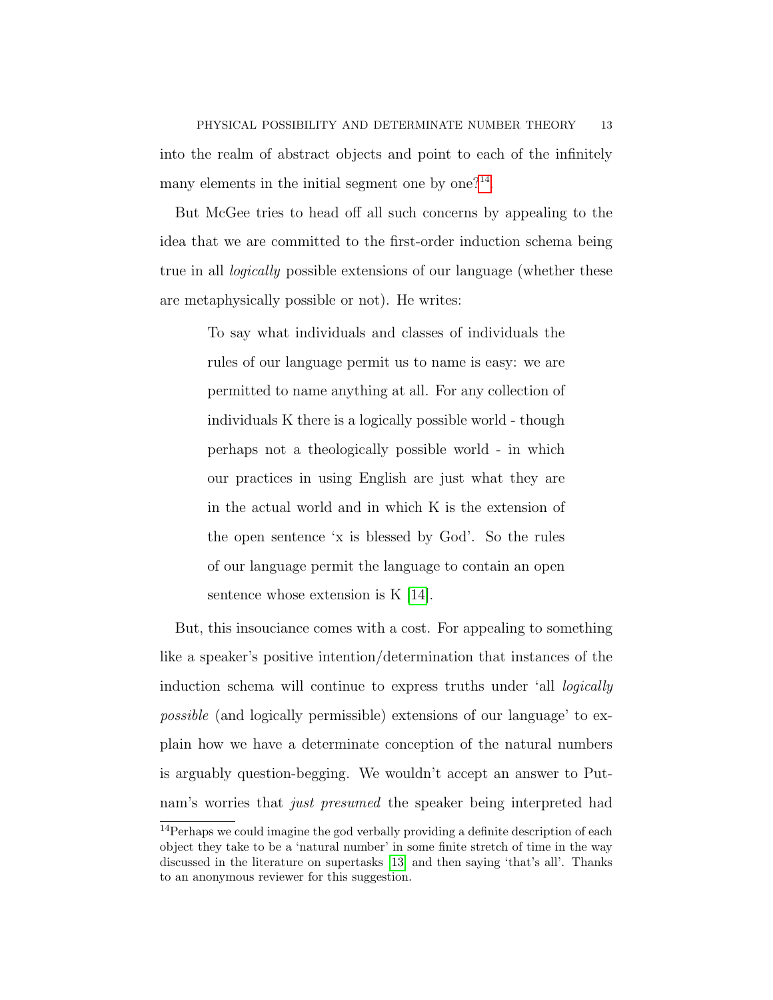But McGee tries to head off all such concerns by appealing to the idea that we are committed to the first-order induction schema being true in all logically possible extensions of our language (whether these are metaphysically possible or not). He writes:

> To say what individuals and classes of individuals the rules of our language permit us to name is easy: we are permitted to name anything at all. For any collection of individuals K there is a logically possible world - though perhaps not a theologically possible world - in which our practices in using English are just what they are in the actual world and in which K is the extension of the open sentence 'x is blessed by God'. So the rules of our language permit the language to contain an open sentence whose extension is K [\[14\]](#page-31-2).

But, this insouciance comes with a cost. For appealing to something like a speaker's positive intention/determination that instances of the induction schema will continue to express truths under 'all logically possible (and logically permissible) extensions of our language' to explain how we have a determinate conception of the natural numbers is arguably question-begging. We wouldn't accept an answer to Putnam's worries that *just presumed* the speaker being interpreted had

<span id="page-12-0"></span><sup>&</sup>lt;sup>14</sup>Perhaps we could imagine the god verbally providing a definite description of each object they take to be a 'natural number' in some finite stretch of time in the way discussed in the literature on supertasks [\[13\]](#page-31-5) and then saying 'that's all'. Thanks to an anonymous reviewer for this suggestion.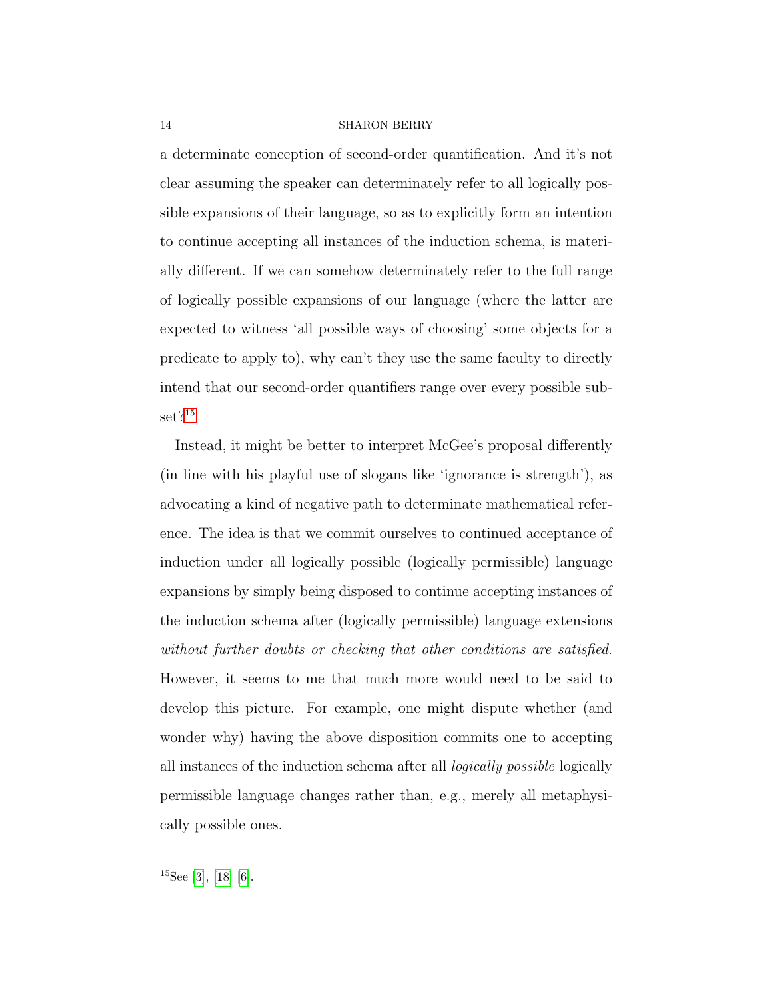a determinate conception of second-order quantification. And it's not clear assuming the speaker can determinately refer to all logically possible expansions of their language, so as to explicitly form an intention to continue accepting all instances of the induction schema, is materially different. If we can somehow determinately refer to the full range of logically possible expansions of our language (where the latter are expected to witness 'all possible ways of choosing' some objects for a predicate to apply to), why can't they use the same faculty to directly intend that our second-order quantifiers range over every possible sub-set?<sup>[15](#page-13-0)</sup>

Instead, it might be better to interpret McGee's proposal differently (in line with his playful use of slogans like 'ignorance is strength'), as advocating a kind of negative path to determinate mathematical reference. The idea is that we commit ourselves to continued acceptance of induction under all logically possible (logically permissible) language expansions by simply being disposed to continue accepting instances of the induction schema after (logically permissible) language extensions without further doubts or checking that other conditions are satisfied. However, it seems to me that much more would need to be said to develop this picture. For example, one might dispute whether (and wonder why) having the above disposition commits one to accepting all instances of the induction schema after all logically possible logically permissible language changes rather than, e.g., merely all metaphysically possible ones.

<span id="page-13-0"></span> $15$ See [\[3\]](#page-30-0), [\[18\]](#page-31-6) [\[6\]](#page-30-6).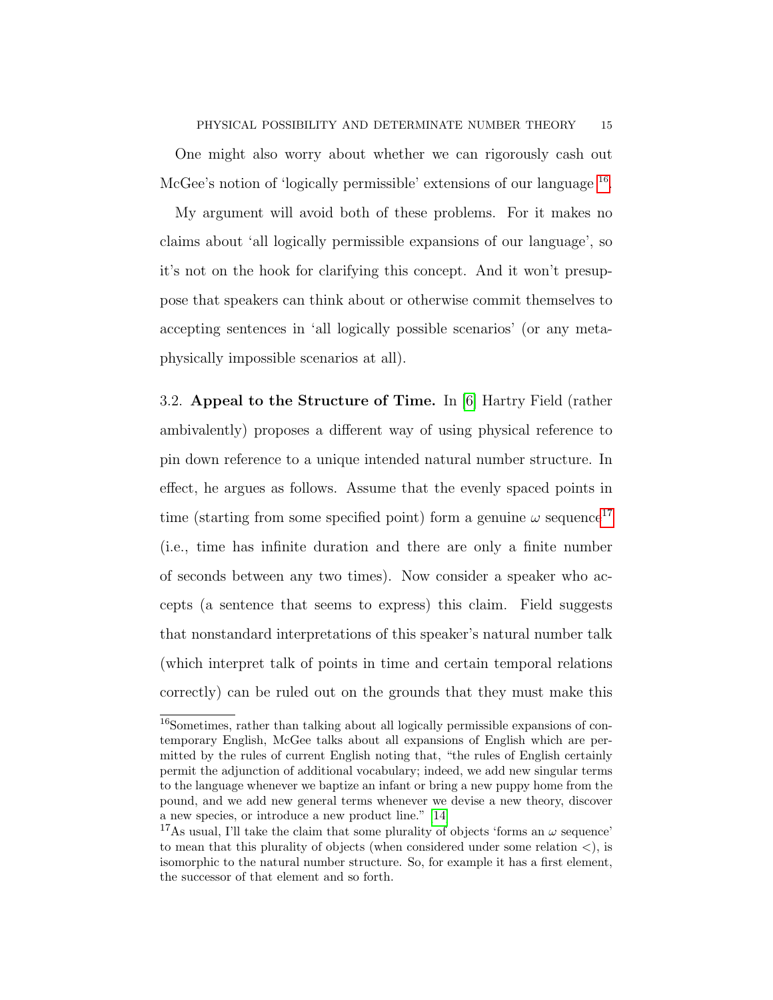One might also worry about whether we can rigorously cash out McGee's notion of 'logically permissible' extensions of our language <sup>[16](#page-14-0)</sup>.

My argument will avoid both of these problems. For it makes no claims about 'all logically permissible expansions of our language', so it's not on the hook for clarifying this concept. And it won't presuppose that speakers can think about or otherwise commit themselves to accepting sentences in 'all logically possible scenarios' (or any metaphysically impossible scenarios at all).

3.2. Appeal to the Structure of Time. In [\[6\]](#page-30-6) Hartry Field (rather ambivalently) proposes a different way of using physical reference to pin down reference to a unique intended natural number structure. In effect, he argues as follows. Assume that the evenly spaced points in time (starting from some specified point) form a genuine  $\omega$  sequence<sup>[17](#page-14-1)</sup> (i.e., time has infinite duration and there are only a finite number of seconds between any two times). Now consider a speaker who accepts (a sentence that seems to express) this claim. Field suggests that nonstandard interpretations of this speaker's natural number talk (which interpret talk of points in time and certain temporal relations correctly) can be ruled out on the grounds that they must make this

<span id="page-14-0"></span><sup>&</sup>lt;sup>16</sup>Sometimes, rather than talking about all logically permissible expansions of contemporary English, McGee talks about all expansions of English which are permitted by the rules of current English noting that, "the rules of English certainly permit the adjunction of additional vocabulary; indeed, we add new singular terms to the language whenever we baptize an infant or bring a new puppy home from the pound, and we add new general terms whenever we devise a new theory, discover a new species, or introduce a new product line." [\[14\]](#page-31-2)

<span id="page-14-1"></span><sup>&</sup>lt;sup>17</sup>As usual, I'll take the claim that some plurality of objects 'forms an  $\omega$  sequence' to mean that this plurality of objects (when considered under some relation  $\langle$ ), is isomorphic to the natural number structure. So, for example it has a first element, the successor of that element and so forth.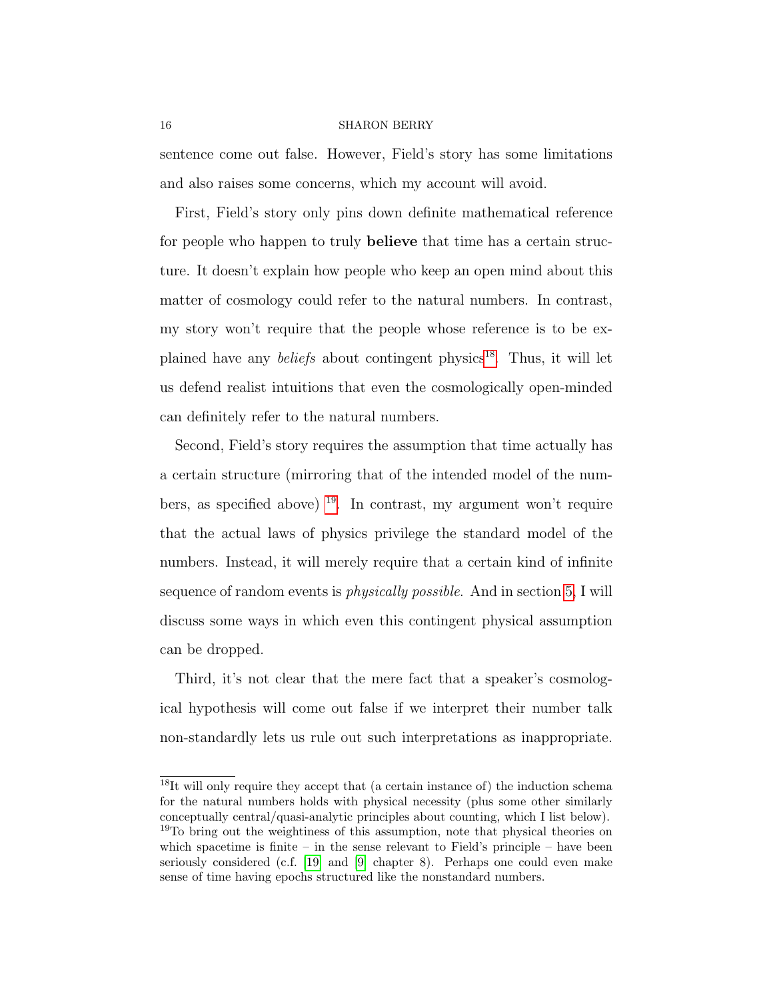sentence come out false. However, Field's story has some limitations and also raises some concerns, which my account will avoid.

First, Field's story only pins down definite mathematical reference for people who happen to truly believe that time has a certain structure. It doesn't explain how people who keep an open mind about this matter of cosmology could refer to the natural numbers. In contrast, my story won't require that the people whose reference is to be explained have any *beliefs* about contingent physics<sup>[18](#page-15-0)</sup>. Thus, it will let us defend realist intuitions that even the cosmologically open-minded can definitely refer to the natural numbers.

Second, Field's story requires the assumption that time actually has a certain structure (mirroring that of the intended model of the numbers, as specified above)  $^{19}$  $^{19}$  $^{19}$ . In contrast, my argument won't require that the actual laws of physics privilege the standard model of the numbers. Instead, it will merely require that a certain kind of infinite sequence of random events is physically possible. And in section [5,](#page-26-0) I will discuss some ways in which even this contingent physical assumption can be dropped.

Third, it's not clear that the mere fact that a speaker's cosmological hypothesis will come out false if we interpret their number talk non-standardly lets us rule out such interpretations as inappropriate.

<span id="page-15-1"></span><span id="page-15-0"></span><sup>&</sup>lt;sup>18</sup>It will only require they accept that (a certain instance of) the induction schema for the natural numbers holds with physical necessity (plus some other similarly conceptually central/quasi-analytic principles about counting, which I list below). <sup>19</sup>To bring out the weightiness of this assumption, note that physical theories on which spacetime is finite – in the sense relevant to Field's principle – have been seriously considered (c.f. [\[19\]](#page-31-7) and [\[9\]](#page-30-7) chapter 8). Perhaps one could even make sense of time having epochs structured like the nonstandard numbers.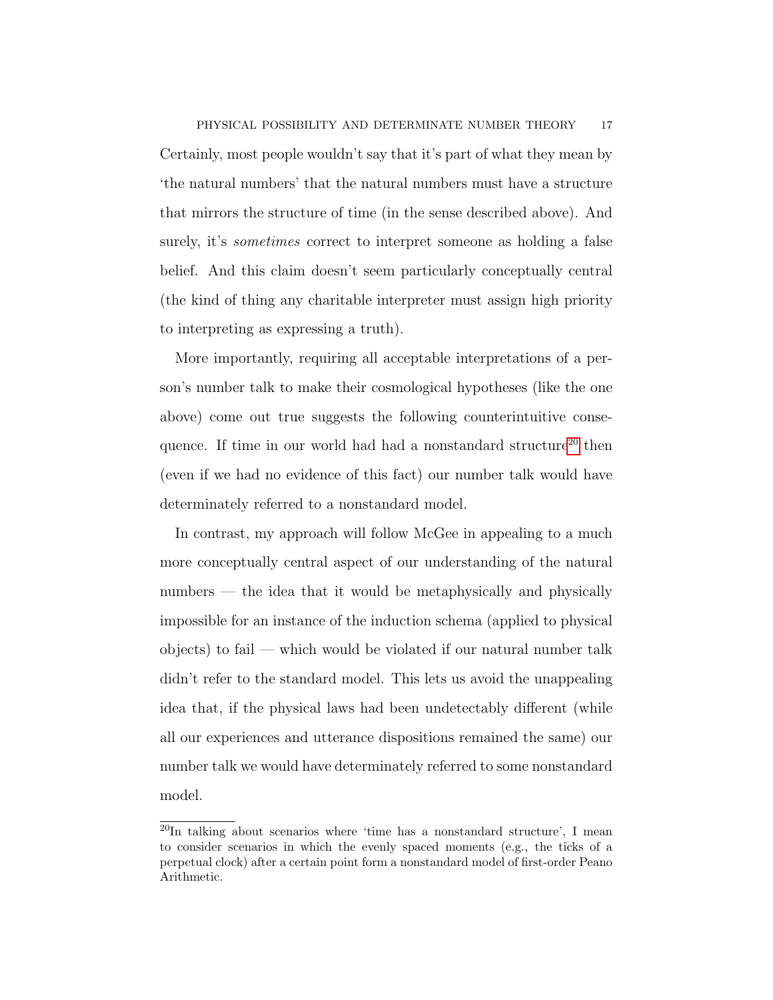Certainly, most people wouldn't say that it's part of what they mean by 'the natural numbers' that the natural numbers must have a structure that mirrors the structure of time (in the sense described above). And surely, it's *sometimes* correct to interpret someone as holding a false belief. And this claim doesn't seem particularly conceptually central (the kind of thing any charitable interpreter must assign high priority to interpreting as expressing a truth).

More importantly, requiring all acceptable interpretations of a person's number talk to make their cosmological hypotheses (like the one above) come out true suggests the following counterintuitive conse-quence. If time in our world had had a nonstandard structure<sup>[20](#page-16-0)</sup> then (even if we had no evidence of this fact) our number talk would have determinately referred to a nonstandard model.

In contrast, my approach will follow McGee in appealing to a much more conceptually central aspect of our understanding of the natural numbers — the idea that it would be metaphysically and physically impossible for an instance of the induction schema (applied to physical  $\alpha$  objects) to fail — which would be violated if our natural number talk didn't refer to the standard model. This lets us avoid the unappealing idea that, if the physical laws had been undetectably different (while all our experiences and utterance dispositions remained the same) our number talk we would have determinately referred to some nonstandard model.

<span id="page-16-0"></span> $^{20}$ In talking about scenarios where 'time has a nonstandard structure', I mean to consider scenarios in which the evenly spaced moments (e.g., the ticks of a perpetual clock) after a certain point form a nonstandard model of first-order Peano Arithmetic.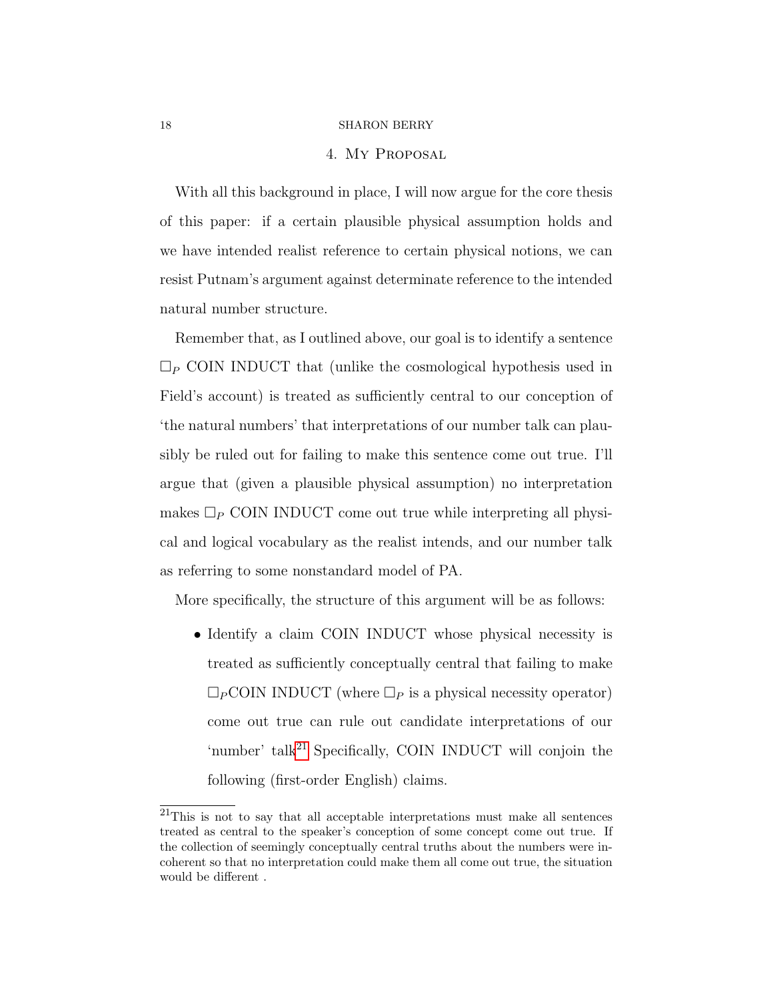# 4. My Proposal

<span id="page-17-0"></span>With all this background in place, I will now argue for the core thesis of this paper: if a certain plausible physical assumption holds and we have intended realist reference to certain physical notions, we can resist Putnam's argument against determinate reference to the intended natural number structure.

Remember that, as I outlined above, our goal is to identify a sentence  $\Box_P$  COIN INDUCT that (unlike the cosmological hypothesis used in Field's account) is treated as sufficiently central to our conception of 'the natural numbers' that interpretations of our number talk can plausibly be ruled out for failing to make this sentence come out true. I'll argue that (given a plausible physical assumption) no interpretation makes  $\Box_P$  COIN INDUCT come out true while interpreting all physical and logical vocabulary as the realist intends, and our number talk as referring to some nonstandard model of PA.

More specifically, the structure of this argument will be as follows:

• Identify a claim COIN INDUCT whose physical necessity is treated as sufficiently conceptually central that failing to make  $\Box_P$ COIN INDUCT (where  $\Box_P$  is a physical necessity operator) come out true can rule out candidate interpretations of our 'number' talk<sup>[21](#page-17-1)</sup> Specifically, COIN INDUCT will conjoin the following (first-order English) claims.

<span id="page-17-1"></span> $21$ This is not to say that all acceptable interpretations must make all sentences treated as central to the speaker's conception of some concept come out true. If the collection of seemingly conceptually central truths about the numbers were incoherent so that no interpretation could make them all come out true, the situation would be different .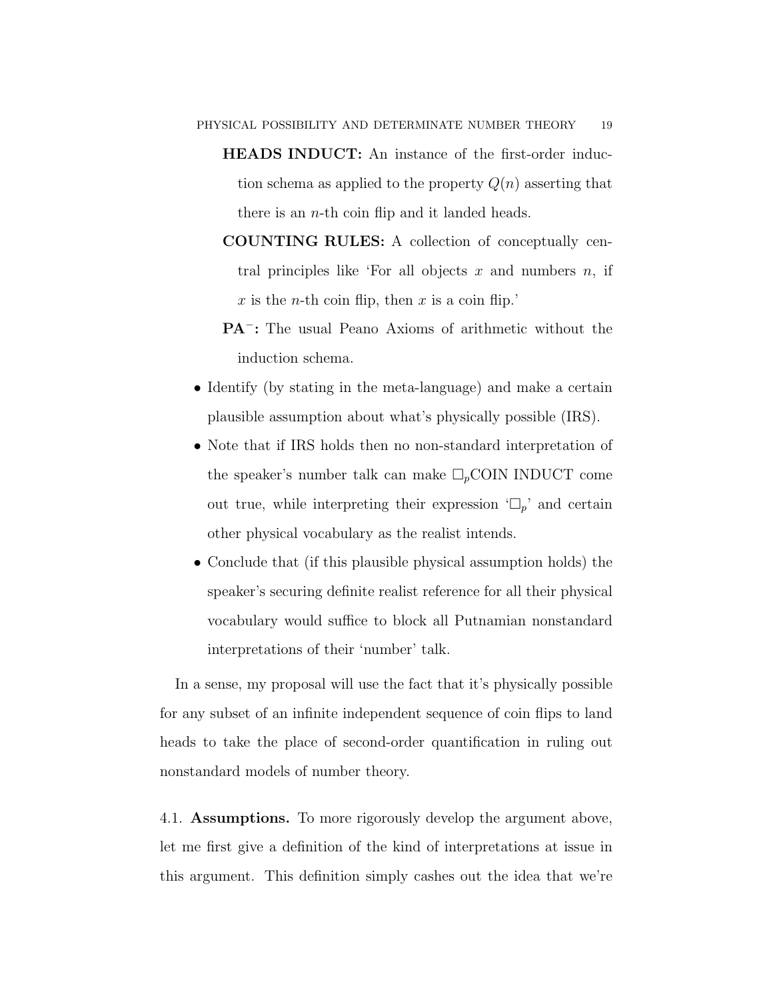- HEADS INDUCT: An instance of the first-order induction schema as applied to the property  $Q(n)$  asserting that there is an  $n$ -th coin flip and it landed heads.
- COUNTING RULES: A collection of conceptually central principles like 'For all objects x and numbers  $n$ , if x is the n-th coin flip, then x is a coin flip.'
- PA<sup>-</sup>: The usual Peano Axioms of arithmetic without the induction schema.
- Identify (by stating in the meta-language) and make a certain plausible assumption about what's physically possible (IRS).
- Note that if IRS holds then no non-standard interpretation of the speaker's number talk can make  $\Box_p$ COIN INDUCT come out true, while interpreting their expression  $\Box_p$  and certain other physical vocabulary as the realist intends.
- Conclude that (if this plausible physical assumption holds) the speaker's securing definite realist reference for all their physical vocabulary would suffice to block all Putnamian nonstandard interpretations of their 'number' talk.

In a sense, my proposal will use the fact that it's physically possible for any subset of an infinite independent sequence of coin flips to land heads to take the place of second-order quantification in ruling out nonstandard models of number theory.

4.1. Assumptions. To more rigorously develop the argument above, let me first give a definition of the kind of interpretations at issue in this argument. This definition simply cashes out the idea that we're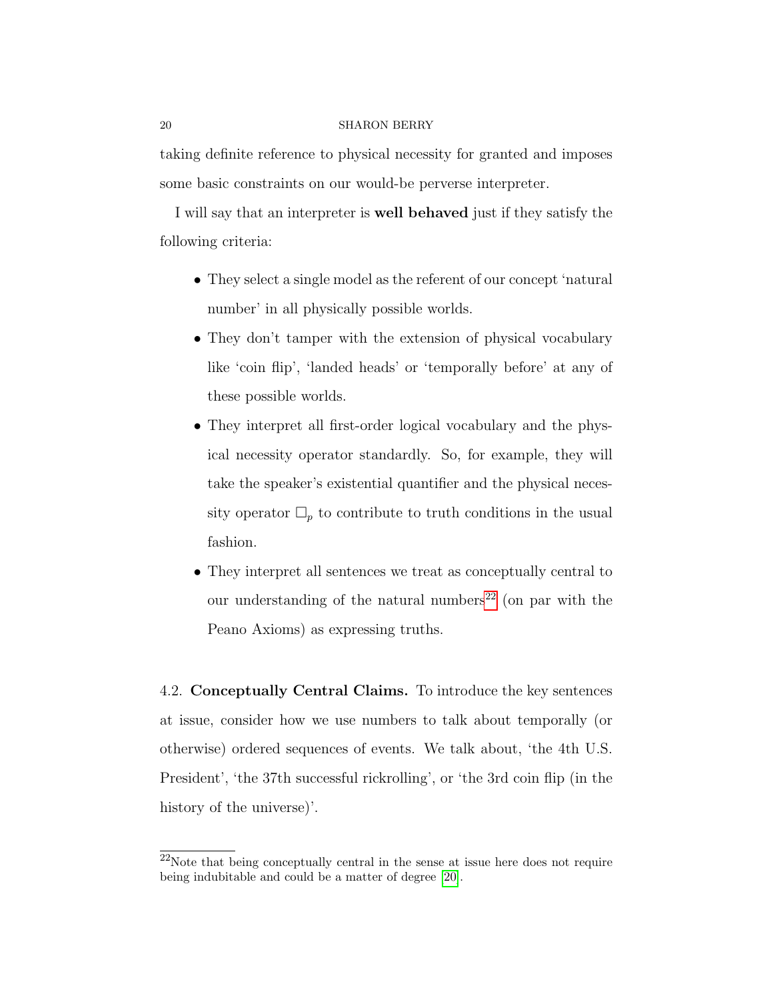taking definite reference to physical necessity for granted and imposes some basic constraints on our would-be perverse interpreter.

I will say that an interpreter is well behaved just if they satisfy the following criteria:

- They select a single model as the referent of our concept 'natural number' in all physically possible worlds.
- They don't tamper with the extension of physical vocabulary like 'coin flip', 'landed heads' or 'temporally before' at any of these possible worlds.
- They interpret all first-order logical vocabulary and the physical necessity operator standardly. So, for example, they will take the speaker's existential quantifier and the physical necessity operator  $\Box_p$  to contribute to truth conditions in the usual fashion.
- They interpret all sentences we treat as conceptually central to our understanding of the natural numbers<sup>[22](#page-19-0)</sup> (on par with the Peano Axioms) as expressing truths.

4.2. Conceptually Central Claims. To introduce the key sentences at issue, consider how we use numbers to talk about temporally (or otherwise) ordered sequences of events. We talk about, 'the 4th U.S. President', 'the 37th successful rickrolling', or 'the 3rd coin flip (in the history of the universe)'.

<span id="page-19-0"></span><sup>22</sup>Note that being conceptually central in the sense at issue here does not require being indubitable and could be a matter of degree [\[20\]](#page-31-8).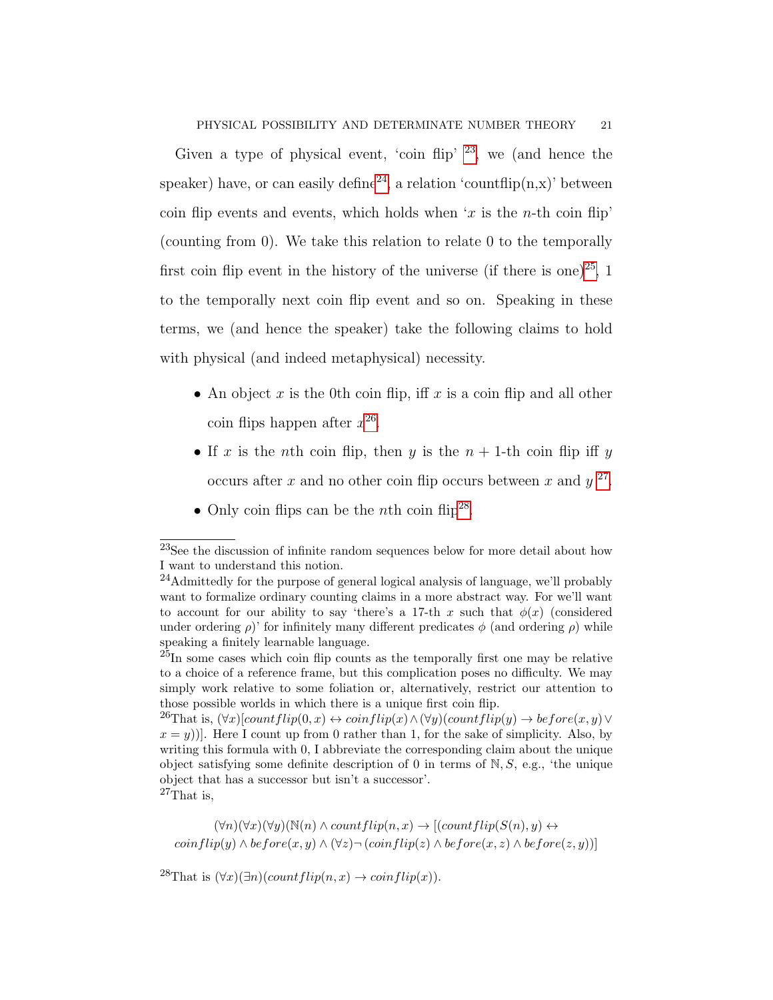Given a type of physical event, 'coin flip'  $^{23}$  $^{23}$  $^{23}$ , we (and hence the speaker) have, or can easily define<sup>[24](#page-20-1)</sup>, a relation 'countflip(n,x)' between coin flip events and events, which holds when 'x is the n-th coin flip' (counting from 0). We take this relation to relate 0 to the temporally first coin flip event in the history of the universe (if there is one)<sup>[25](#page-20-2)</sup>, 1 to the temporally next coin flip event and so on. Speaking in these terms, we (and hence the speaker) take the following claims to hold with physical (and indeed metaphysical) necessity.

- An object x is the 0th coin flip, iff x is a coin flip and all other coin flips happen after  $x^{26}$  $x^{26}$  $x^{26}$ .
- If x is the nth coin flip, then y is the  $n + 1$ -th coin flip iff y occurs after x and no other coin flip occurs between x and  $y^{27}$  $y^{27}$  $y^{27}$ .
- Only coin flips can be the *n*th coin flip<sup>[28](#page-20-5)</sup>.

<span id="page-20-4"></span> $(\forall n)(\forall x)(\forall y)(\mathbb{N}(n) \wedge countflip(n,x) \rightarrow [(countflip(S(n), y) \leftrightarrow$  $\overline{coinflip}(y) \wedge \overline{before}(x, y) \wedge (\forall z) \neg (\overline{coinflip}(z) \wedge \overline{before}(x, z) \wedge \overline{before}(z, y))]$ 

<span id="page-20-5"></span><sup>28</sup>That is  $(\forall x)(\exists n)(countflip(n, x) \rightarrow coinflip(x)).$ 

<span id="page-20-0"></span><sup>23</sup>See the discussion of infinite random sequences below for more detail about how I want to understand this notion.

<span id="page-20-1"></span><sup>24</sup>Admittedly for the purpose of general logical analysis of language, we'll probably want to formalize ordinary counting claims in a more abstract way. For we'll want to account for our ability to say 'there's a 17-th x such that  $\phi(x)$  (considered under ordering  $\rho$ )' for infinitely many different predicates  $\phi$  (and ordering  $\rho$ ) while speaking a finitely learnable language.

<span id="page-20-2"></span> $^{25}$ In some cases which coin flip counts as the temporally first one may be relative to a choice of a reference frame, but this complication poses no difficulty. We may simply work relative to some foliation or, alternatively, restrict our attention to those possible worlds in which there is a unique first coin flip.

<span id="page-20-3"></span><sup>&</sup>lt;sup>26</sup>That is,  $(\forall x)[countflip(0, x) \leftrightarrow coinflip(x) \land (\forall y)(countflip(y) \rightarrow before(x, y) \lor$  $(x = y)$ ]. Here I count up from 0 rather than 1, for the sake of simplicity. Also, by writing this formula with 0, I abbreviate the corresponding claim about the unique object satisfying some definite description of 0 in terms of  $N, S$ , e.g., 'the unique object that has a successor but isn't a successor'.  $^{27}$ That is,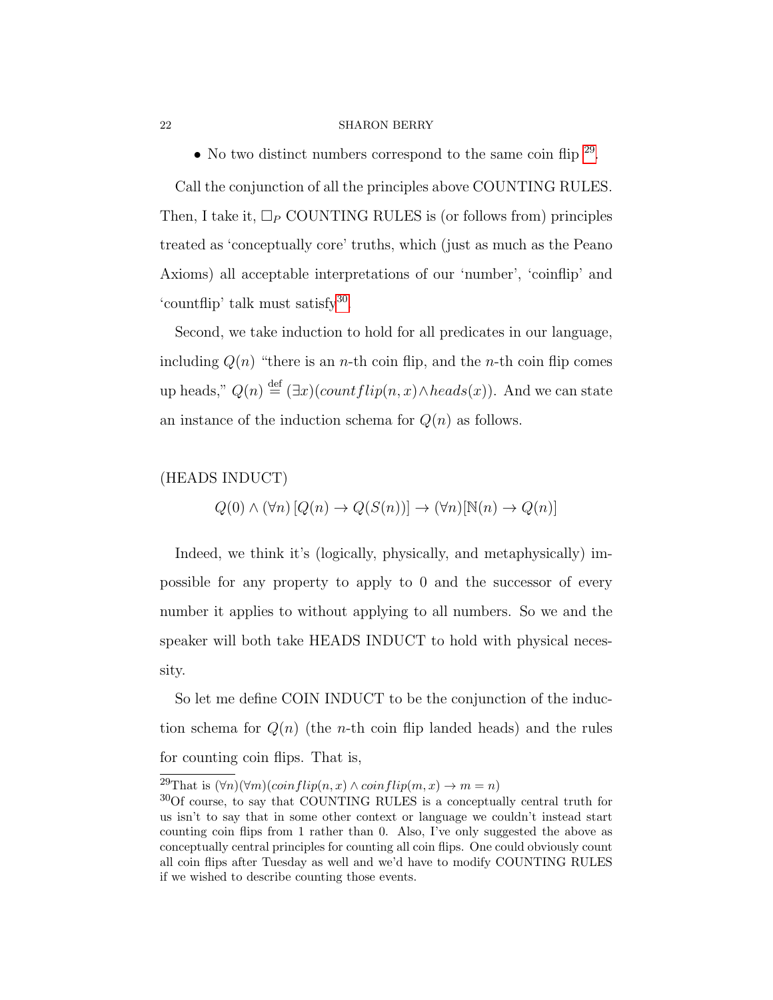• No two distinct numbers correspond to the same coin flip  $29$ .

Call the conjunction of all the principles above COUNTING RULES. Then, I take it,  $\Box_P$  COUNTING RULES is (or follows from) principles treated as 'conceptually core' truths, which (just as much as the Peano Axioms) all acceptable interpretations of our 'number', 'coinflip' and 'countflip' talk must satisfy<sup>[30](#page-21-1)</sup>.

Second, we take induction to hold for all predicates in our language, including  $Q(n)$  "there is an *n*-th coin flip, and the *n*-th coin flip comes up heads,"  $Q(n) \stackrel{\text{def}}{=} (\exists x)(countflip(n, x) \land heads(x)).$  And we can state an instance of the induction schema for  $Q(n)$  as follows.

# (HEADS INDUCT)

$$
Q(0) \land (\forall n) [Q(n) \to Q(S(n))] \to (\forall n) [\mathbb{N}(n) \to Q(n)]
$$

Indeed, we think it's (logically, physically, and metaphysically) impossible for any property to apply to 0 and the successor of every number it applies to without applying to all numbers. So we and the speaker will both take HEADS INDUCT to hold with physical necessity.

So let me define COIN INDUCT to be the conjunction of the induction schema for  $Q(n)$  (the *n*-th coin flip landed heads) and the rules for counting coin flips. That is,

<span id="page-21-0"></span><sup>&</sup>lt;sup>29</sup>That is  $(\forall n)(\forall m)(coinflip(n, x) \land coinflip(m, x) \rightarrow m = n)$ 

<span id="page-21-1"></span><sup>&</sup>lt;sup>30</sup>Of course, to say that COUNTING RULES is a conceptually central truth for us isn't to say that in some other context or language we couldn't instead start counting coin flips from 1 rather than 0. Also, I've only suggested the above as conceptually central principles for counting all coin flips. One could obviously count all coin flips after Tuesday as well and we'd have to modify COUNTING RULES if we wished to describe counting those events.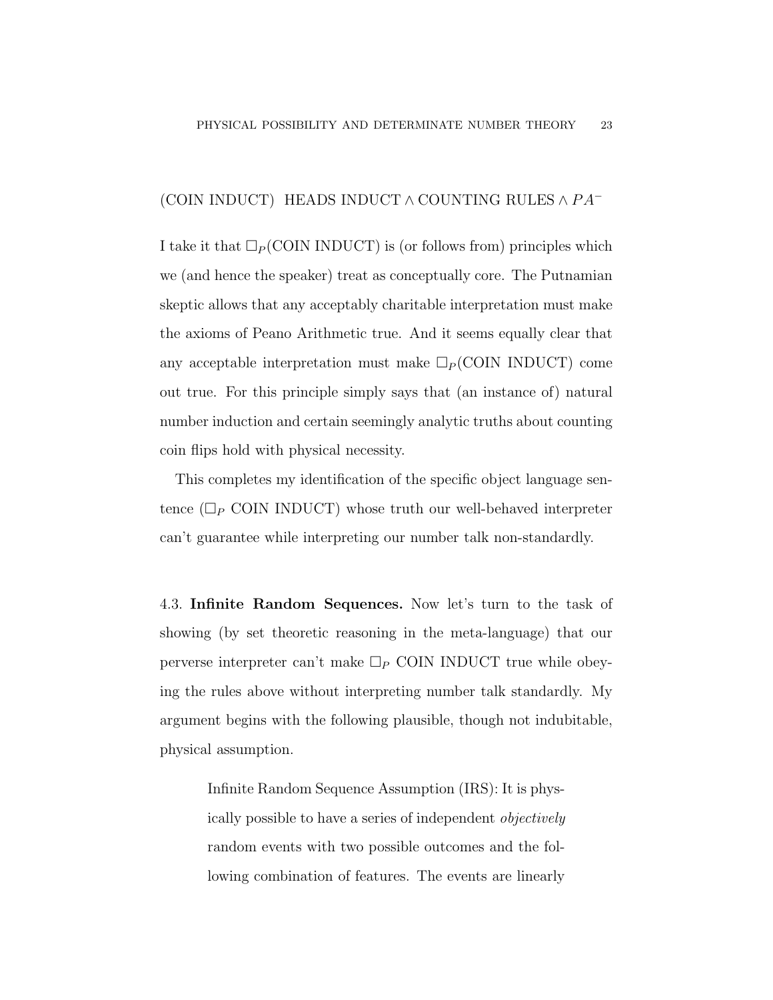## (COIN INDUCT) HEADS INDUCT  $\wedge$  COUNTING RULES  $\wedge PA^{-}$

I take it that  $\Box_P$  (COIN INDUCT) is (or follows from) principles which we (and hence the speaker) treat as conceptually core. The Putnamian skeptic allows that any acceptably charitable interpretation must make the axioms of Peano Arithmetic true. And it seems equally clear that any acceptable interpretation must make  $\Box_P$  (COIN INDUCT) come out true. For this principle simply says that (an instance of) natural number induction and certain seemingly analytic truths about counting coin flips hold with physical necessity.

This completes my identification of the specific object language sentence  $(\Box_P \text{CON INDUCT})$  whose truth our well-behaved interpreter can't guarantee while interpreting our number talk non-standardly.

4.3. Infinite Random Sequences. Now let's turn to the task of showing (by set theoretic reasoning in the meta-language) that our perverse interpreter can't make  $\Box_P$  COIN INDUCT true while obeying the rules above without interpreting number talk standardly. My argument begins with the following plausible, though not indubitable, physical assumption.

> <span id="page-22-0"></span>Infinite Random Sequence Assumption (IRS): It is physically possible to have a series of independent objectively random events with two possible outcomes and the following combination of features. The events are linearly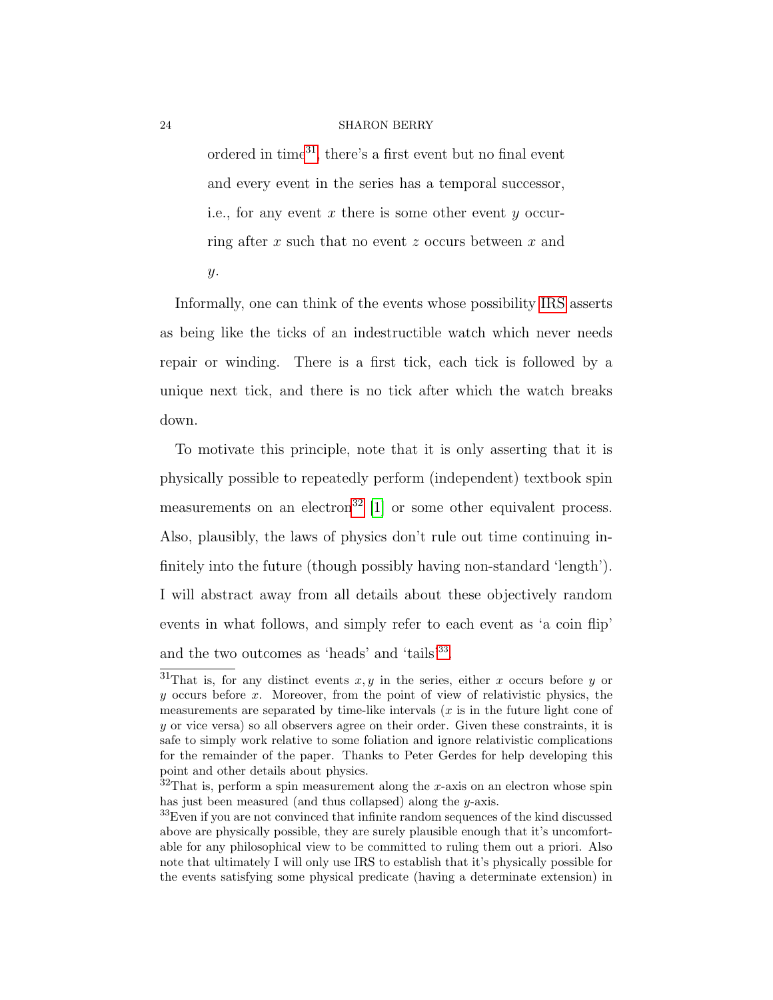ordered in time[31](#page-23-0), there's a first event but no final event and every event in the series has a temporal successor, i.e., for any event x there is some other event y occurring after x such that no event z occurs between x and y.

Informally, one can think of the events whose possibility [IRS](#page-22-0) asserts as being like the ticks of an indestructible watch which never needs repair or winding. There is a first tick, each tick is followed by a unique next tick, and there is no tick after which the watch breaks down.

To motivate this principle, note that it is only asserting that it is physically possible to repeatedly perform (independent) textbook spin measurements on an electron<sup>[32](#page-23-1)</sup> [\[1\]](#page-30-8) or some other equivalent process. Also, plausibly, the laws of physics don't rule out time continuing infinitely into the future (though possibly having non-standard 'length'). I will abstract away from all details about these objectively random events in what follows, and simply refer to each event as 'a coin flip' and the two outcomes as 'heads' and 'tails'<sup>[33](#page-23-2)</sup>.

<span id="page-23-0"></span><sup>&</sup>lt;sup>31</sup>That is, for any distinct events  $x, y$  in the series, either x occurs before y or y occurs before x. Moreover, from the point of view of relativistic physics, the measurements are separated by time-like intervals  $(x$  is in the future light cone of  $y$  or vice versa) so all observers agree on their order. Given these constraints, it is safe to simply work relative to some foliation and ignore relativistic complications for the remainder of the paper. Thanks to Peter Gerdes for help developing this point and other details about physics.

<span id="page-23-1"></span> $32$ That is, perform a spin measurement along the x-axis on an electron whose spin has just been measured (and thus collapsed) along the y-axis.

<span id="page-23-2"></span><sup>33</sup>Even if you are not convinced that infinite random sequences of the kind discussed above are physically possible, they are surely plausible enough that it's uncomfortable for any philosophical view to be committed to ruling them out a priori. Also note that ultimately I will only use IRS to establish that it's physically possible for the events satisfying some physical predicate (having a determinate extension) in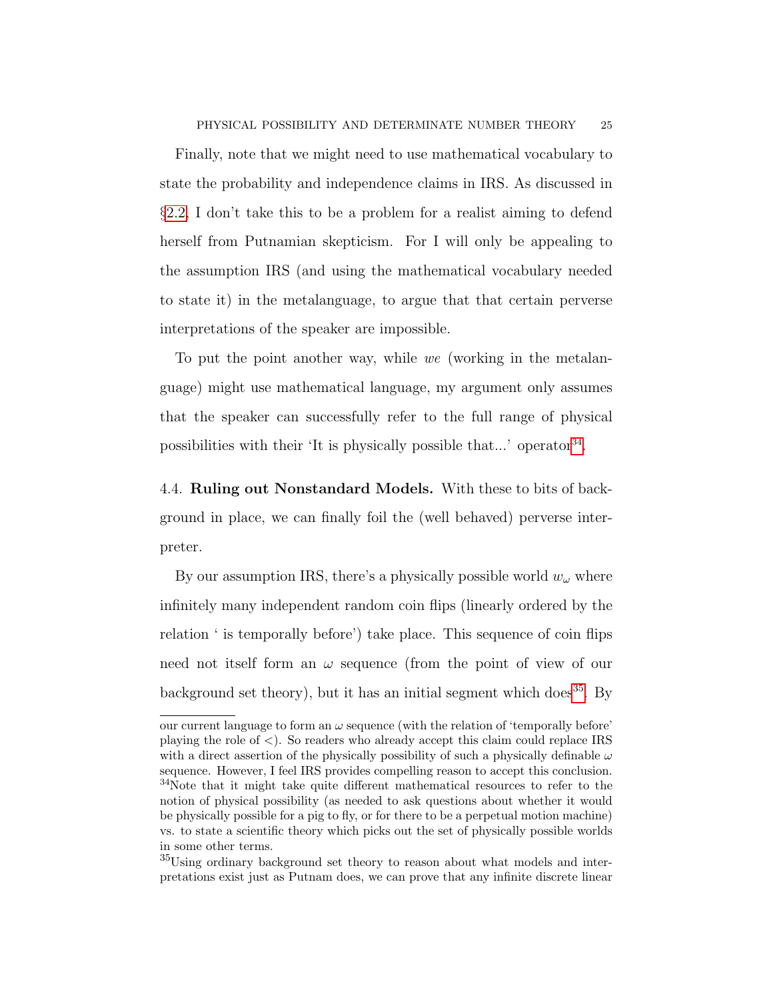Finally, note that we might need to use mathematical vocabulary to state the probability and independence claims in IRS. As discussed in §[2.2,](#page-6-0) I don't take this to be a problem for a realist aiming to defend herself from Putnamian skepticism. For I will only be appealing to the assumption IRS (and using the mathematical vocabulary needed to state it) in the metalanguage, to argue that that certain perverse interpretations of the speaker are impossible.

To put the point another way, while we (working in the metalanguage) might use mathematical language, my argument only assumes that the speaker can successfully refer to the full range of physical possibilities with their 'It is physically possible that...' operator<sup>[34](#page-24-0)</sup>.

4.4. Ruling out Nonstandard Models. With these to bits of background in place, we can finally foil the (well behaved) perverse interpreter.

By our assumption IRS, there's a physically possible world  $w_{\omega}$  where infinitely many independent random coin flips (linearly ordered by the relation ' is temporally before') take place. This sequence of coin flips need not itself form an  $\omega$  sequence (from the point of view of our background set theory), but it has an initial segment which does<sup>[35](#page-24-1)</sup>. By

<span id="page-24-0"></span>our current language to form an  $\omega$  sequence (with the relation of 'temporally before' playing the role of <). So readers who already accept this claim could replace IRS with a direct assertion of the physically possibility of such a physically definable  $\omega$ sequence. However, I feel IRS provides compelling reason to accept this conclusion. <sup>34</sup>Note that it might take quite different mathematical resources to refer to the notion of physical possibility (as needed to ask questions about whether it would be physically possible for a pig to fly, or for there to be a perpetual motion machine) vs. to state a scientific theory which picks out the set of physically possible worlds in some other terms.

<span id="page-24-1"></span><sup>35</sup>Using ordinary background set theory to reason about what models and interpretations exist just as Putnam does, we can prove that any infinite discrete linear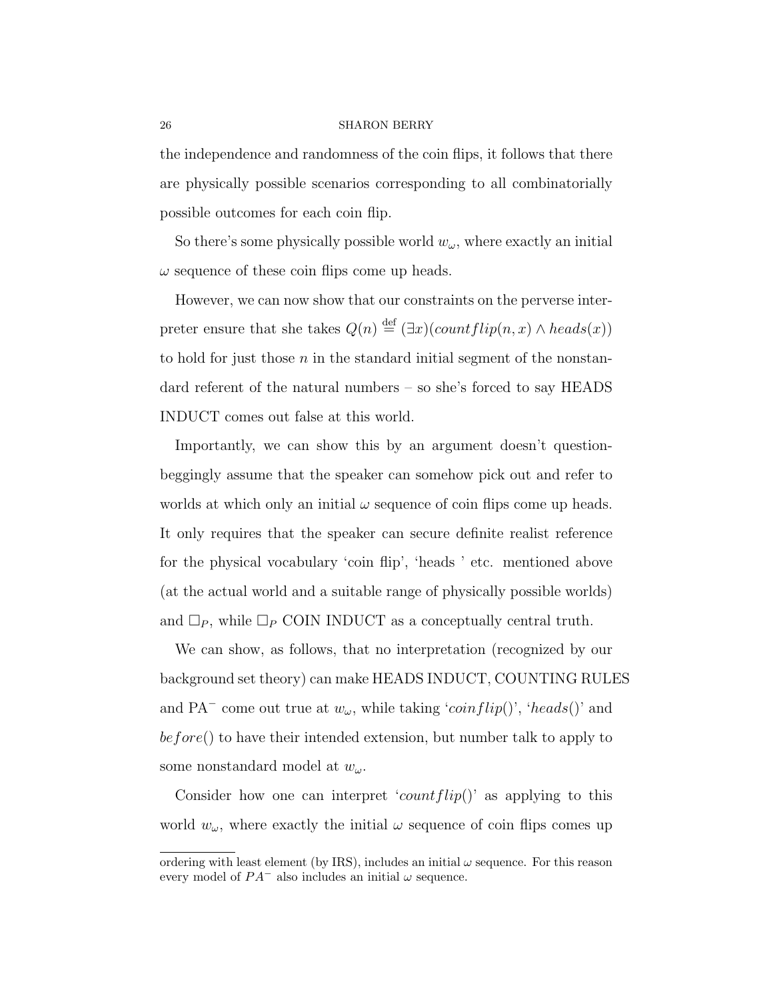the independence and randomness of the coin flips, it follows that there are physically possible scenarios corresponding to all combinatorially possible outcomes for each coin flip.

So there's some physically possible world  $w_{\omega}$ , where exactly an initial  $\omega$  sequence of these coin flips come up heads.

However, we can now show that our constraints on the perverse interpreter ensure that she takes  $Q(n) \stackrel{\text{def}}{=} (\exists x)(countflip(n, x) \land heads(x))$ to hold for just those  $n$  in the standard initial segment of the nonstandard referent of the natural numbers – so she's forced to say HEADS INDUCT comes out false at this world.

Importantly, we can show this by an argument doesn't questionbeggingly assume that the speaker can somehow pick out and refer to worlds at which only an initial  $\omega$  sequence of coin flips come up heads. It only requires that the speaker can secure definite realist reference for the physical vocabulary 'coin flip', 'heads ' etc. mentioned above (at the actual world and a suitable range of physically possible worlds) and  $\Box_P$ , while  $\Box_P$  COIN INDUCT as a conceptually central truth.

We can show, as follows, that no interpretation (recognized by our background set theory) can make HEADS INDUCT, COUNTING RULES and PA<sup> $-$ </sup> come out true at  $w_{\omega}$ , while taking '*coinflip*()', '*heads*()' and before() to have their intended extension, but number talk to apply to some nonstandard model at  $w_\omega$ .

Consider how one can interpret 'count  $flip()$ ' as applying to this world  $w_{\omega}$ , where exactly the initial  $\omega$  sequence of coin flips comes up

ordering with least element (by IRS), includes an initial  $\omega$  sequence. For this reason every model of  $PA^-$  also includes an initial  $\omega$  sequence.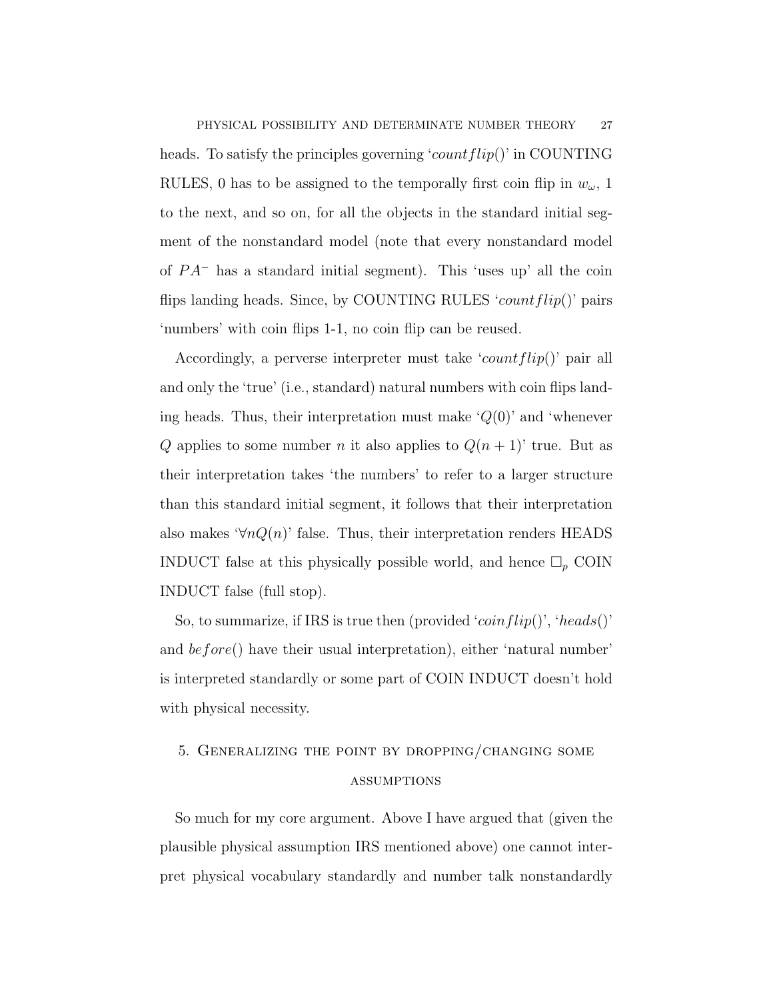heads. To satisfy the principles governing 'count  $flip()$ ' in COUNTING RULES, 0 has to be assigned to the temporally first coin flip in  $w_{\omega}$ , 1 to the next, and so on, for all the objects in the standard initial segment of the nonstandard model (note that every nonstandard model of  $PA^-$  has a standard initial segment). This 'uses up' all the coin flips landing heads. Since, by COUNTING RULES 'count  $flip()$ ' pairs 'numbers' with coin flips 1-1, no coin flip can be reused.

Accordingly, a perverse interpreter must take 'count  $flip()$ ' pair all and only the 'true' (i.e., standard) natural numbers with coin flips landing heads. Thus, their interpretation must make  $\mathcal{Q}(0)$  and 'whenever Q applies to some number n it also applies to  $Q(n+1)$ ' true. But as their interpretation takes 'the numbers' to refer to a larger structure than this standard initial segment, it follows that their interpretation also makes ' $\forall n Q(n)$ ' false. Thus, their interpretation renders HEADS INDUCT false at this physically possible world, and hence  $\Box_p$  COIN INDUCT false (full stop).

So, to summarize, if IRS is true then (provided ' $\overline{coinflip}()$ ', 'heads()' and  $before()$  have their usual interpretation), either 'natural number' is interpreted standardly or some part of COIN INDUCT doesn't hold with physical necessity.

# <span id="page-26-0"></span>5. Generalizing the point by dropping/changing some **ASSUMPTIONS**

So much for my core argument. Above I have argued that (given the plausible physical assumption IRS mentioned above) one cannot interpret physical vocabulary standardly and number talk nonstandardly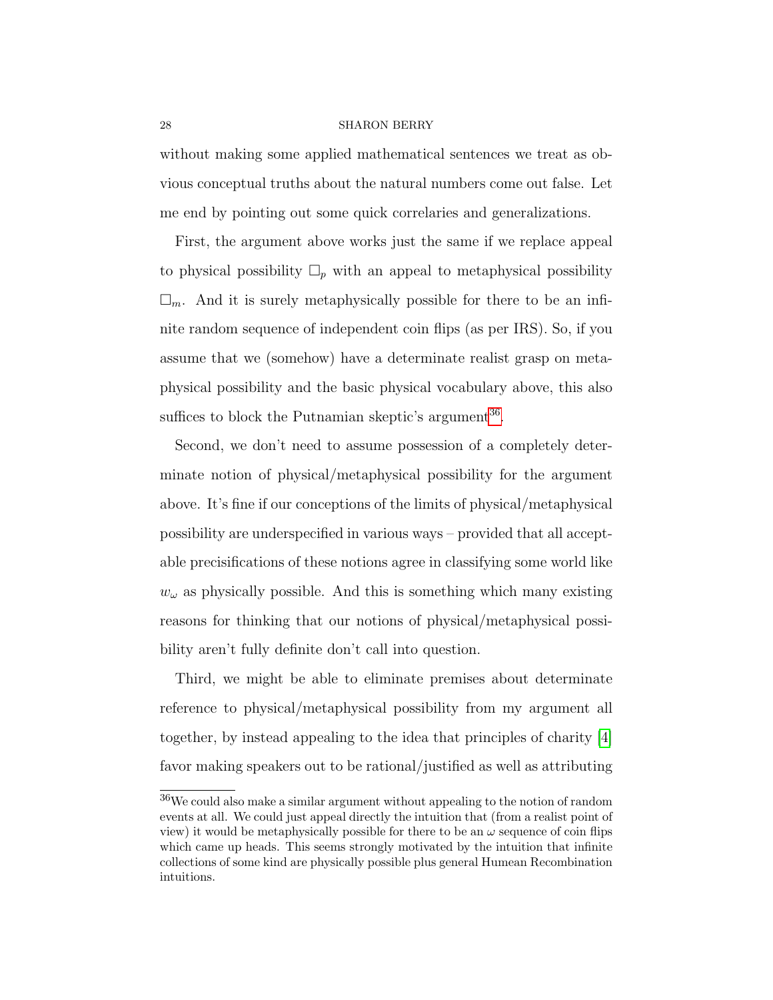without making some applied mathematical sentences we treat as obvious conceptual truths about the natural numbers come out false. Let me end by pointing out some quick correlaries and generalizations.

First, the argument above works just the same if we replace appeal to physical possibility  $\Box_p$  with an appeal to metaphysical possibility  $\square_m$ . And it is surely metaphysically possible for there to be an infinite random sequence of independent coin flips (as per IRS). So, if you assume that we (somehow) have a determinate realist grasp on metaphysical possibility and the basic physical vocabulary above, this also suffices to block the Putnamian skeptic's argument<sup>[36](#page-27-0)</sup>.

Second, we don't need to assume possession of a completely determinate notion of physical/metaphysical possibility for the argument above. It's fine if our conceptions of the limits of physical/metaphysical possibility are underspecified in various ways – provided that all acceptable precisifications of these notions agree in classifying some world like  $w_{\omega}$  as physically possible. And this is something which many existing reasons for thinking that our notions of physical/metaphysical possibility aren't fully definite don't call into question.

Third, we might be able to eliminate premises about determinate reference to physical/metaphysical possibility from my argument all together, by instead appealing to the idea that principles of charity [\[4\]](#page-30-9) favor making speakers out to be rational/justified as well as attributing

<span id="page-27-0"></span><sup>36</sup>We could also make a similar argument without appealing to the notion of random events at all. We could just appeal directly the intuition that (from a realist point of view) it would be metaphysically possible for there to be an  $\omega$  sequence of coin flips which came up heads. This seems strongly motivated by the intuition that infinite collections of some kind are physically possible plus general Humean Recombination intuitions.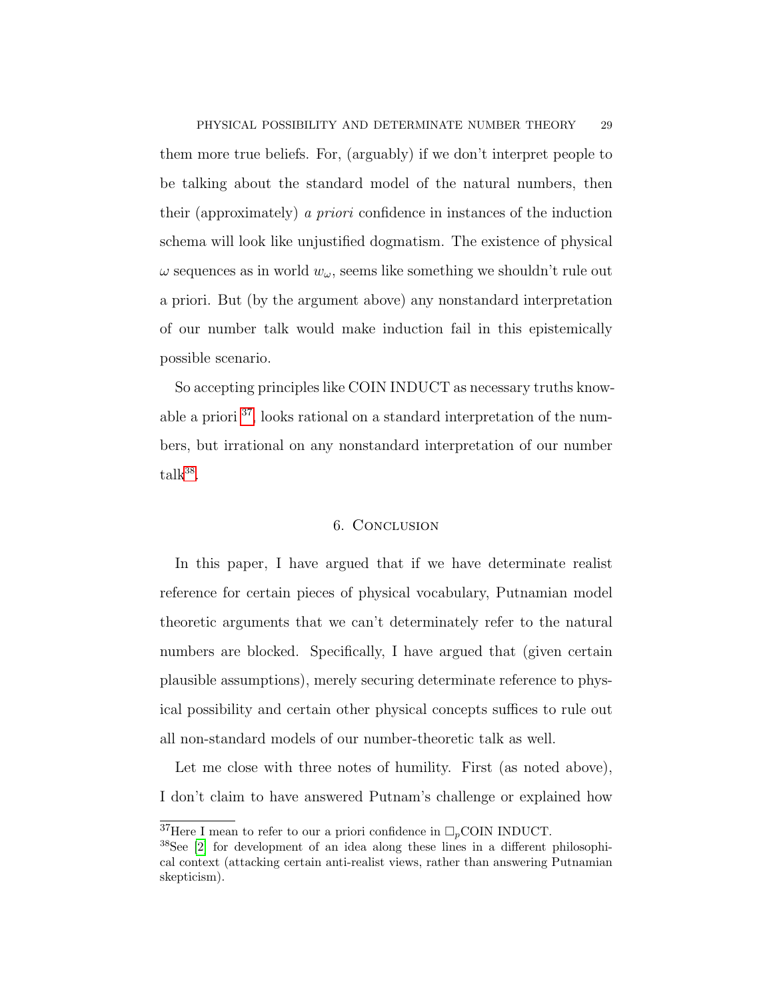them more true beliefs. For, (arguably) if we don't interpret people to be talking about the standard model of the natural numbers, then their (approximately) a priori confidence in instances of the induction schema will look like unjustified dogmatism. The existence of physical  $\omega$  sequences as in world  $w_{\omega}$ , seems like something we shouldn't rule out a priori. But (by the argument above) any nonstandard interpretation of our number talk would make induction fail in this epistemically possible scenario.

So accepting principles like COIN INDUCT as necessary truths knowable a priori [37](#page-28-0), looks rational on a standard interpretation of the numbers, but irrational on any nonstandard interpretation of our number  $\text{talk}^{38}$  $\text{talk}^{38}$  $\text{talk}^{38}$ .

## 6. Conclusion

In this paper, I have argued that if we have determinate realist reference for certain pieces of physical vocabulary, Putnamian model theoretic arguments that we can't determinately refer to the natural numbers are blocked. Specifically, I have argued that (given certain plausible assumptions), merely securing determinate reference to physical possibility and certain other physical concepts suffices to rule out all non-standard models of our number-theoretic talk as well.

Let me close with three notes of humility. First (as noted above), I don't claim to have answered Putnam's challenge or explained how

<span id="page-28-0"></span><sup>&</sup>lt;sup>37</sup>Here I mean to refer to our a priori confidence in  $\Box_p$ COIN INDUCT.

<span id="page-28-1"></span><sup>38</sup>See [\[2\]](#page-30-10) for development of an idea along these lines in a different philosophical context (attacking certain anti-realist views, rather than answering Putnamian skepticism).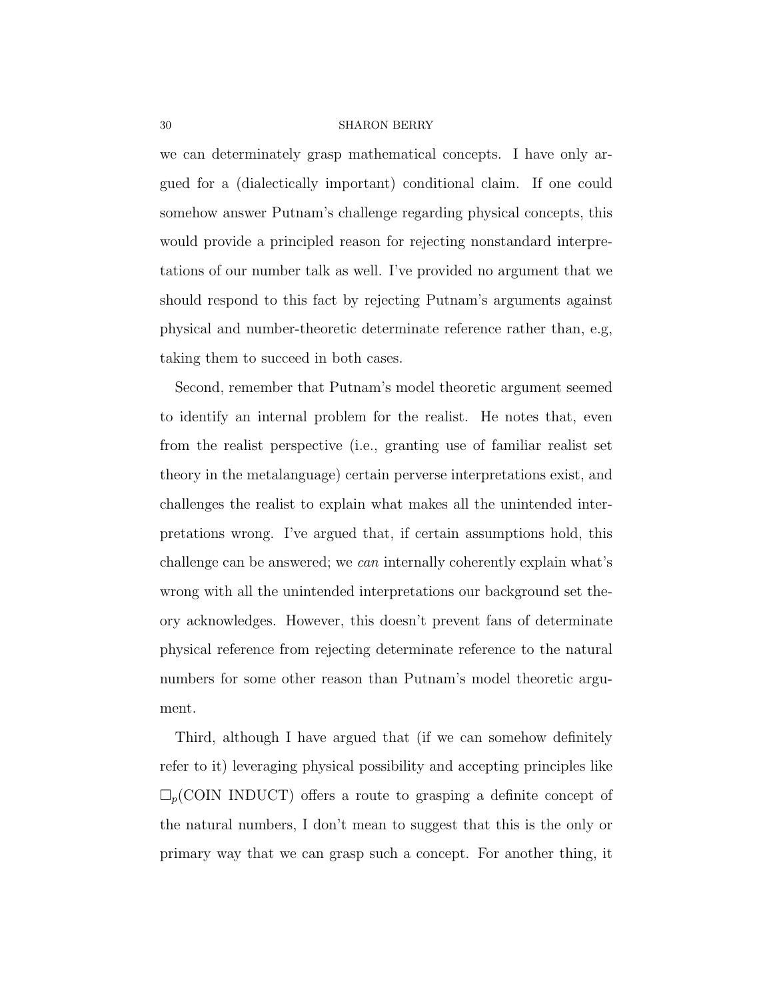we can determinately grasp mathematical concepts. I have only argued for a (dialectically important) conditional claim. If one could somehow answer Putnam's challenge regarding physical concepts, this would provide a principled reason for rejecting nonstandard interpretations of our number talk as well. I've provided no argument that we should respond to this fact by rejecting Putnam's arguments against physical and number-theoretic determinate reference rather than, e.g, taking them to succeed in both cases.

Second, remember that Putnam's model theoretic argument seemed to identify an internal problem for the realist. He notes that, even from the realist perspective (i.e., granting use of familiar realist set theory in the metalanguage) certain perverse interpretations exist, and challenges the realist to explain what makes all the unintended interpretations wrong. I've argued that, if certain assumptions hold, this challenge can be answered; we can internally coherently explain what's wrong with all the unintended interpretations our background set theory acknowledges. However, this doesn't prevent fans of determinate physical reference from rejecting determinate reference to the natural numbers for some other reason than Putnam's model theoretic argument.

Third, although I have argued that (if we can somehow definitely refer to it) leveraging physical possibility and accepting principles like  $\Box_p$ (COIN INDUCT) offers a route to grasping a definite concept of the natural numbers, I don't mean to suggest that this is the only or primary way that we can grasp such a concept. For another thing, it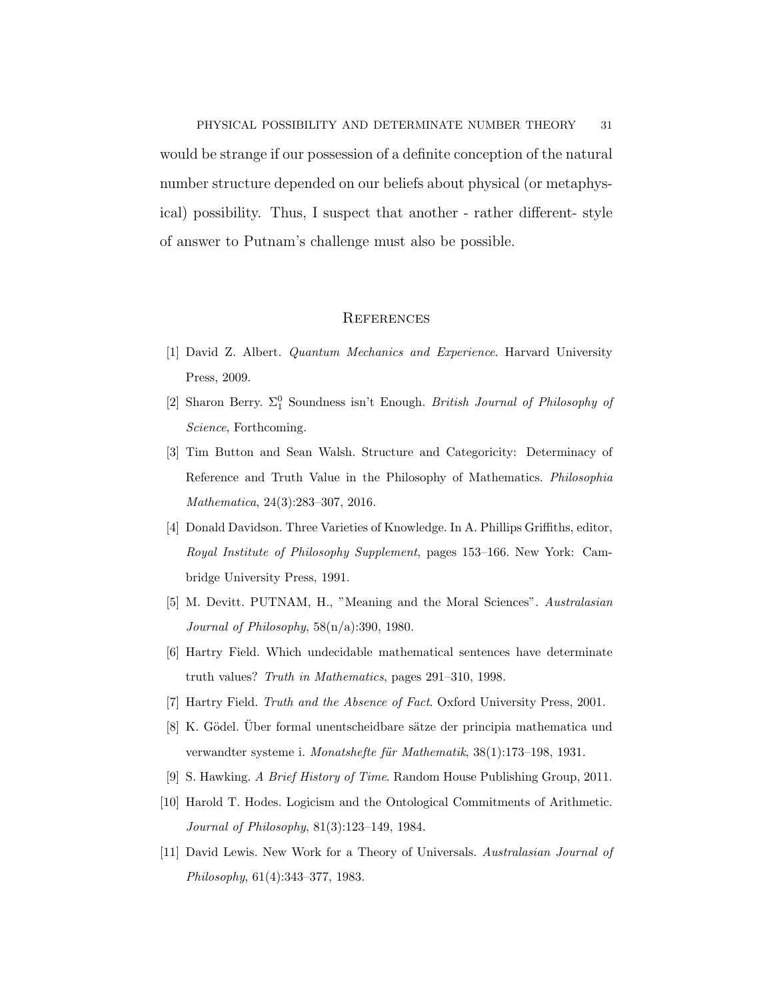PHYSICAL POSSIBILITY AND DETERMINATE NUMBER THEORY 31 would be strange if our possession of a definite conception of the natural number structure depended on our beliefs about physical (or metaphysical) possibility. Thus, I suspect that another - rather different- style of answer to Putnam's challenge must also be possible.

## **REFERENCES**

- <span id="page-30-8"></span>[1] David Z. Albert. Quantum Mechanics and Experience. Harvard University Press, 2009.
- <span id="page-30-10"></span>[2] Sharon Berry.  $\Sigma_1^0$  Soundness isn't Enough. British Journal of Philosophy of Science, Forthcoming.
- <span id="page-30-0"></span>[3] Tim Button and Sean Walsh. Structure and Categoricity: Determinacy of Reference and Truth Value in the Philosophy of Mathematics. Philosophia Mathematica, 24(3):283–307, 2016.
- <span id="page-30-9"></span>[4] Donald Davidson. Three Varieties of Knowledge. In A. Phillips Griffiths, editor, Royal Institute of Philosophy Supplement, pages 153–166. New York: Cambridge University Press, 1991.
- <span id="page-30-4"></span>[5] M. Devitt. PUTNAM, H., "Meaning and the Moral Sciences". Australasian Journal of Philosophy, 58(n/a):390, 1980.
- <span id="page-30-6"></span>[6] Hartry Field. Which undecidable mathematical sentences have determinate truth values? Truth in Mathematics, pages 291–310, 1998.
- <span id="page-30-3"></span><span id="page-30-2"></span>[7] Hartry Field. Truth and the Absence of Fact. Oxford University Press, 2001.
- [8] K. Gödel. Über formal unentscheidbare sätze der principia mathematica und verwandter systeme i. Monatshefte für Mathematik, 38(1):173–198, 1931.
- <span id="page-30-7"></span><span id="page-30-1"></span>[9] S. Hawking. A Brief History of Time. Random House Publishing Group, 2011.
- [10] Harold T. Hodes. Logicism and the Ontological Commitments of Arithmetic. Journal of Philosophy, 81(3):123–149, 1984.
- <span id="page-30-5"></span>[11] David Lewis. New Work for a Theory of Universals. Australasian Journal of Philosophy, 61(4):343–377, 1983.